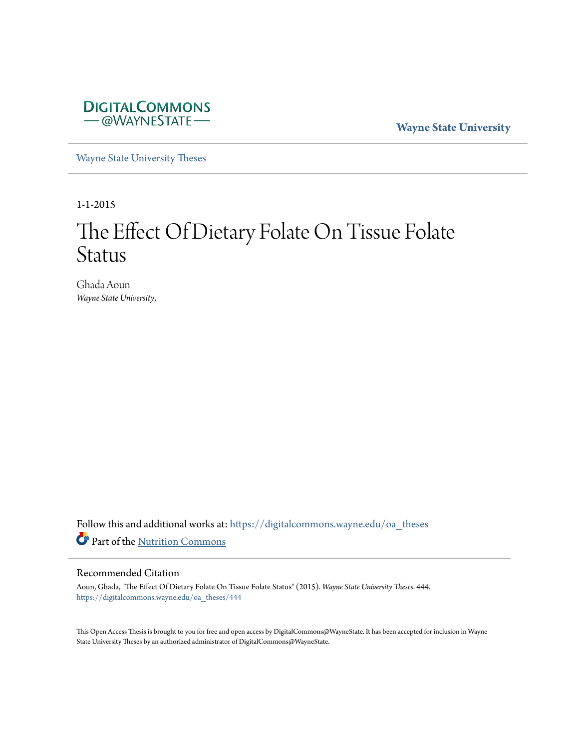

**Wayne State University**

[Wayne State University Theses](https://digitalcommons.wayne.edu/oa_theses?utm_source=digitalcommons.wayne.edu%2Foa_theses%2F444&utm_medium=PDF&utm_campaign=PDFCoverPages)

1-1-2015

# The Effect Of Dietary Folate On Tissue Folate Status

Ghada Aoun *Wayne State University*,

Follow this and additional works at: [https://digitalcommons.wayne.edu/oa\\_theses](https://digitalcommons.wayne.edu/oa_theses?utm_source=digitalcommons.wayne.edu%2Foa_theses%2F444&utm_medium=PDF&utm_campaign=PDFCoverPages) Part of the [Nutrition Commons](http://network.bepress.com/hgg/discipline/95?utm_source=digitalcommons.wayne.edu%2Foa_theses%2F444&utm_medium=PDF&utm_campaign=PDFCoverPages)

#### Recommended Citation

Aoun, Ghada, "The Effect Of Dietary Folate On Tissue Folate Status" (2015). *Wayne State University Theses*. 444. [https://digitalcommons.wayne.edu/oa\\_theses/444](https://digitalcommons.wayne.edu/oa_theses/444?utm_source=digitalcommons.wayne.edu%2Foa_theses%2F444&utm_medium=PDF&utm_campaign=PDFCoverPages)

This Open Access Thesis is brought to you for free and open access by DigitalCommons@WayneState. It has been accepted for inclusion in Wayne State University Theses by an authorized administrator of DigitalCommons@WayneState.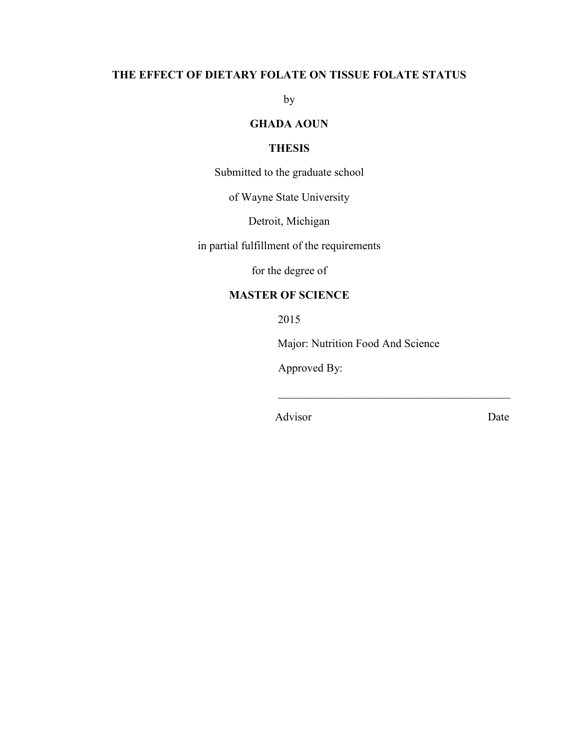# **THE EFFECT OF DIETARY FOLATE ON TISSUE FOLATE STATUS**

by

## **GHADA AOUN**

## **THESIS**

Submitted to the graduate school

of Wayne State University

Detroit, Michigan

in partial fulfillment of the requirements

for the degree of

## **MASTER OF SCIENCE**

2015

Major: Nutrition Food And Science

 $\_$  . The contribution of the contribution of  $\mathcal{L}_\mathcal{L}$ 

Approved By:

Advisor Date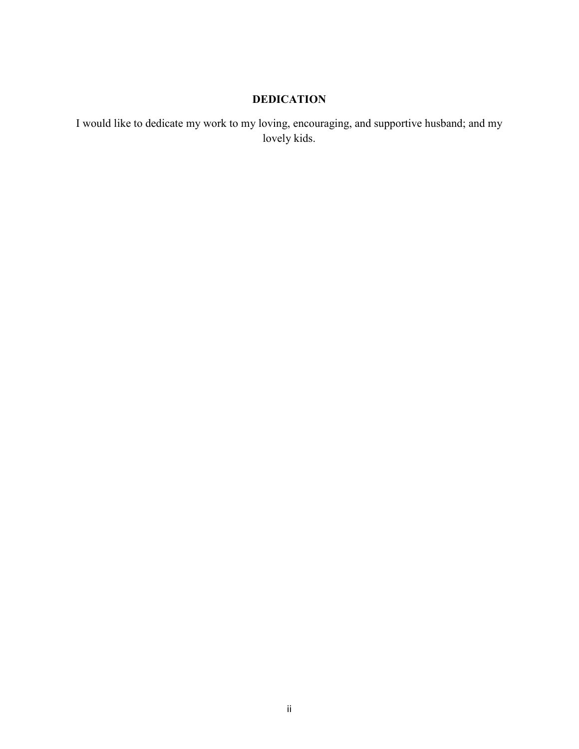# **DEDICATION**

I would like to dedicate my work to my loving, encouraging, and supportive husband; and my lovely kids.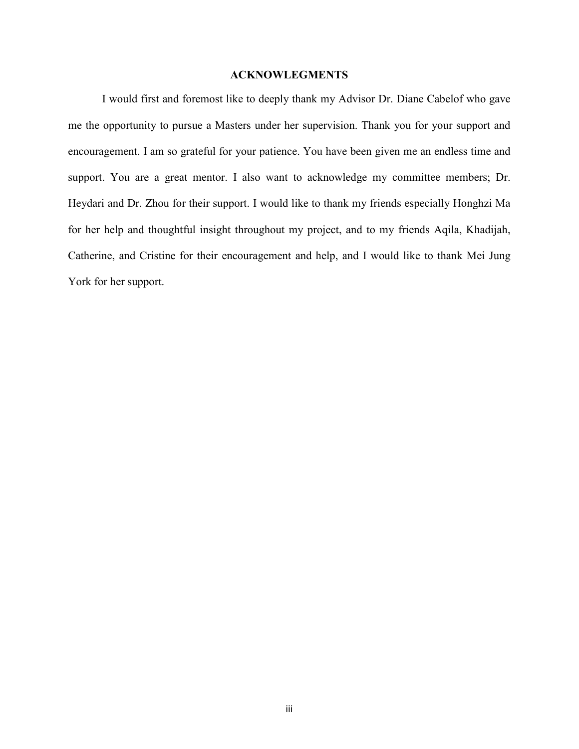## **ACKNOWLEGMENTS**

I would first and foremost like to deeply thank my Advisor Dr. Diane Cabelof who gave me the opportunity to pursue a Masters under her supervision. Thank you for your support and encouragement. I am so grateful for your patience. You have been given me an endless time and support. You are a great mentor. I also want to acknowledge my committee members; Dr. Heydari and Dr. Zhou for their support. I would like to thank my friends especially Honghzi Ma for her help and thoughtful insight throughout my project, and to my friends Aqila, Khadijah, Catherine, and Cristine for their encouragement and help, and I would like to thank Mei Jung York for her support.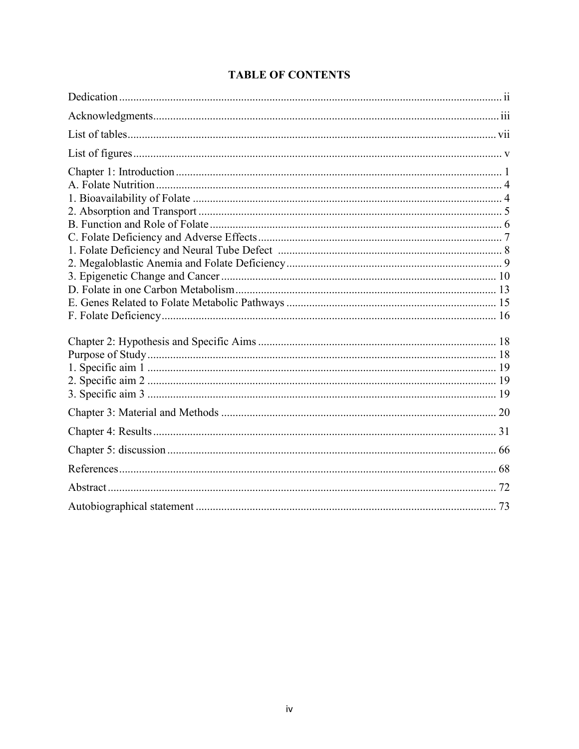# **TABLE OF CONTENTS**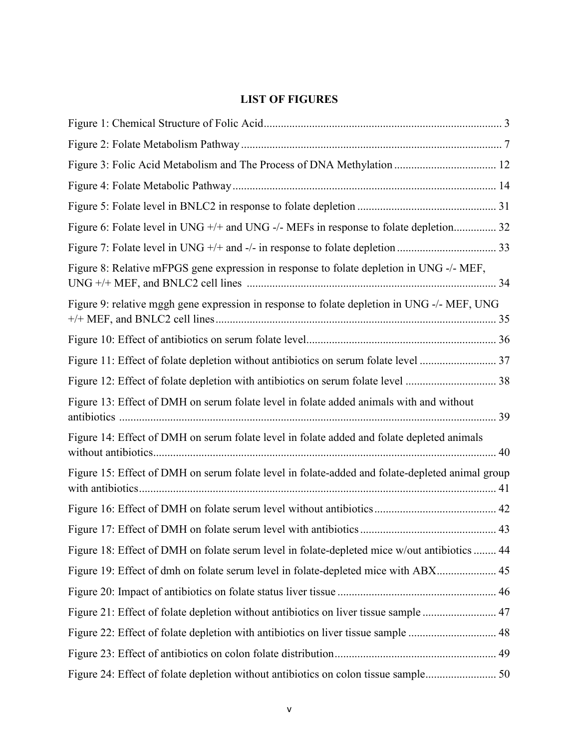# **LIST OF FIGURES**

| Figure 6: Folate level in UNG +/+ and UNG -/- MEFs in response to folate depletion 32           |  |
|-------------------------------------------------------------------------------------------------|--|
|                                                                                                 |  |
| Figure 8: Relative mFPGS gene expression in response to folate depletion in UNG -/- MEF,        |  |
| Figure 9: relative mggh gene expression in response to folate depletion in UNG -/- MEF, UNG     |  |
|                                                                                                 |  |
|                                                                                                 |  |
|                                                                                                 |  |
| Figure 13: Effect of DMH on serum folate level in folate added animals with and without         |  |
| Figure 14: Effect of DMH on serum folate level in folate added and folate depleted animals      |  |
| Figure 15: Effect of DMH on serum folate level in folate-added and folate-depleted animal group |  |
|                                                                                                 |  |
|                                                                                                 |  |
| Figure 18: Effect of DMH on folate serum level in folate-depleted mice w/out antibiotics  44    |  |
| Figure 19: Effect of dmh on folate serum level in folate-depleted mice with ABX 45              |  |
|                                                                                                 |  |
| Figure 21: Effect of folate depletion without antibiotics on liver tissue sample  47            |  |
| Figure 22: Effect of folate depletion with antibiotics on liver tissue sample  48               |  |
|                                                                                                 |  |
|                                                                                                 |  |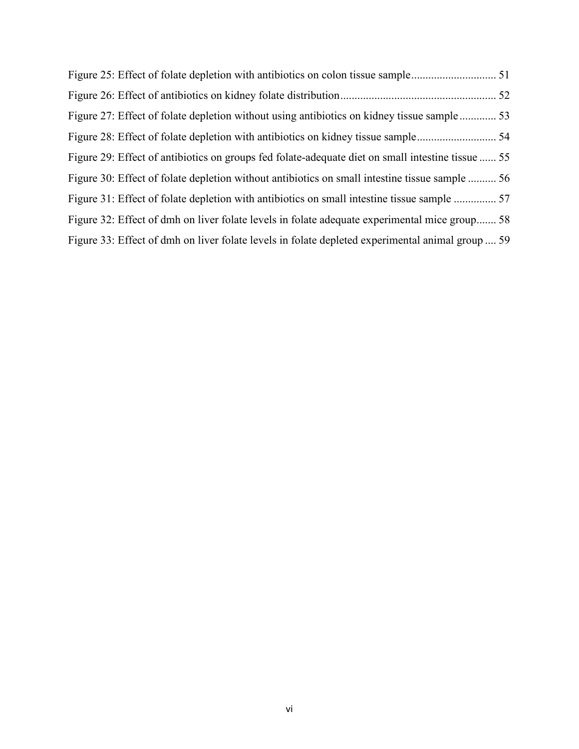| Figure 29: Effect of antibiotics on groups fed folate-adequate diet on small intestine tissue  55 |  |
|---------------------------------------------------------------------------------------------------|--|
| Figure 30: Effect of folate depletion without antibiotics on small intestine tissue sample  56    |  |
|                                                                                                   |  |
| Figure 32: Effect of dmh on liver folate levels in folate adequate experimental mice group 58     |  |
| Figure 33: Effect of dmh on liver folate levels in folate depleted experimental animal group  59  |  |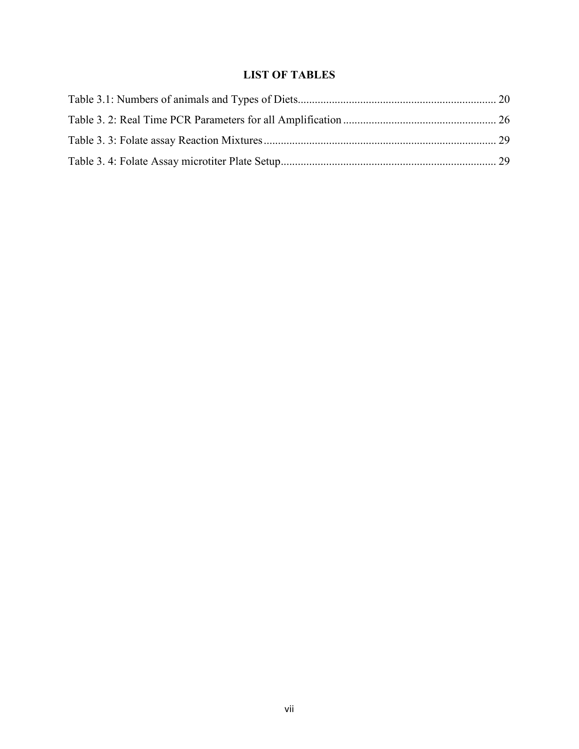# **LIST OF TABLES**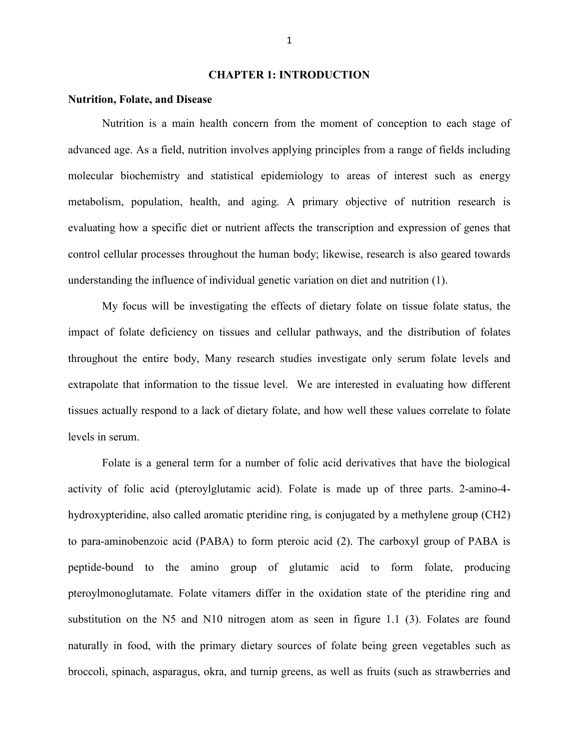#### **CHAPTER 1: INTRODUCTION**

#### **Nutrition, Folate, and Disease**

 Nutrition is a main health concern from the moment of conception to each stage of advanced age. As a field, nutrition involves applying principles from a range of fields including molecular biochemistry and statistical epidemiology to areas of interest such as energy metabolism, population, health, and aging. A primary objective of nutrition research is evaluating how a specific diet or nutrient affects the transcription and expression of genes that control cellular processes throughout the human body; likewise, research is also geared towards understanding the influence of individual genetic variation on diet and nutrition (1).

My focus will be investigating the effects of dietary folate on tissue folate status, the impact of folate deficiency on tissues and cellular pathways, and the distribution of folates throughout the entire body, Many research studies investigate only serum folate levels and extrapolate that information to the tissue level. We are interested in evaluating how different tissues actually respond to a lack of dietary folate, and how well these values correlate to folate levels in serum.

Folate is a general term for a number of folic acid derivatives that have the biological activity of folic acid (pteroylglutamic acid). Folate is made up of three parts. 2-amino-4 hydroxypteridine, also called aromatic pteridine ring, is conjugated by a methylene group (CH2) to para-aminobenzoic acid (PABA) to form pteroic acid (2). The carboxyl group of PABA is peptide-bound to the amino group of glutamic acid to form folate, producing pteroylmonoglutamate. Folate vitamers differ in the oxidation state of the pteridine ring and substitution on the N5 and N10 nitrogen atom as seen in figure 1.1 (3). Folates are found naturally in food, with the primary dietary sources of folate being green vegetables such as broccoli, spinach, asparagus, okra, and turnip greens, as well as fruits (such as strawberries and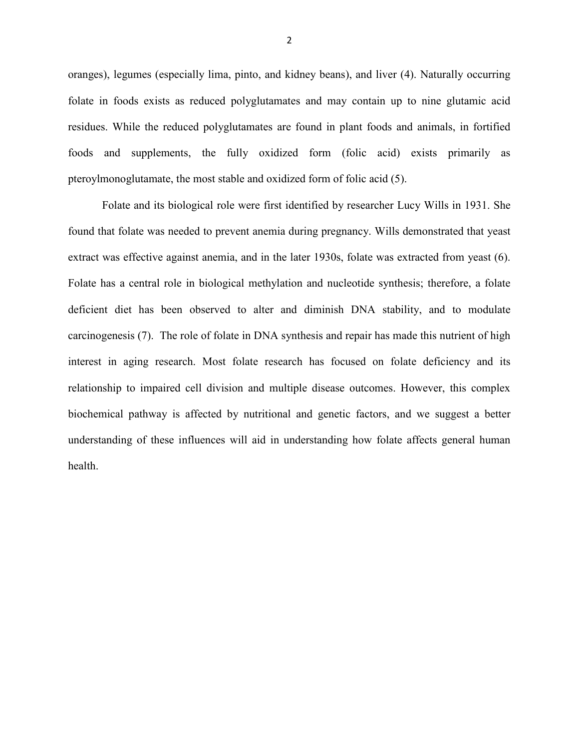oranges), legumes (especially lima, pinto, and kidney beans), and liver (4). Naturally occurring folate in foods exists as reduced polyglutamates and may contain up to nine glutamic acid residues. While the reduced polyglutamates are found in plant foods and animals, in fortified foods and supplements, the fully oxidized form (folic acid) exists primarily as pteroylmonoglutamate, the most stable and oxidized form of folic acid (5).

Folate and its biological role were first identified by researcher Lucy Wills in 1931. She found that folate was needed to prevent anemia during pregnancy. Wills demonstrated that yeast extract was effective against anemia, and in the later 1930s, folate was extracted from yeast (6). Folate has a central role in biological methylation and nucleotide synthesis; therefore, a folate deficient diet has been observed to alter and diminish DNA stability, and to modulate carcinogenesis (7). The role of folate in DNA synthesis and repair has made this nutrient of high interest in aging research. Most folate research has focused on folate deficiency and its relationship to impaired cell division and multiple disease outcomes. However, this complex biochemical pathway is affected by nutritional and genetic factors, and we suggest a better understanding of these influences will aid in understanding how folate affects general human health.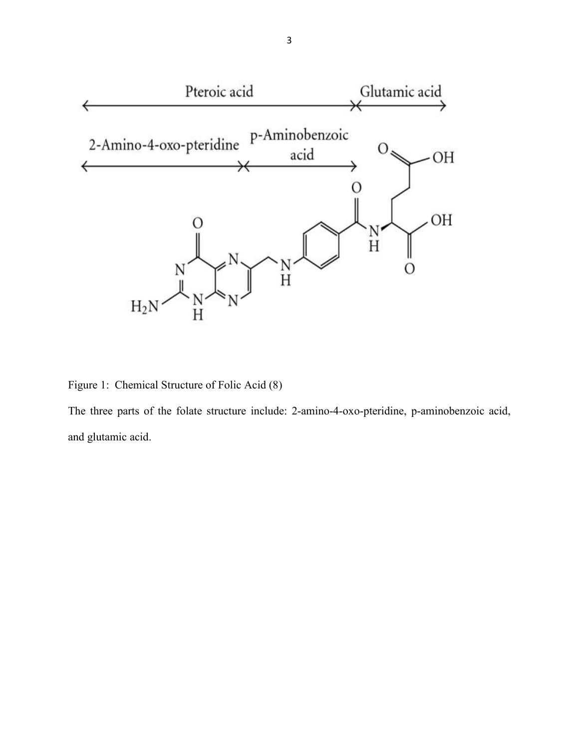

Figure 1: Chemical Structure of Folic Acid (8)

The three parts of the folate structure include: 2-amino-4-oxo-pteridine, p-aminobenzoic acid, and glutamic acid.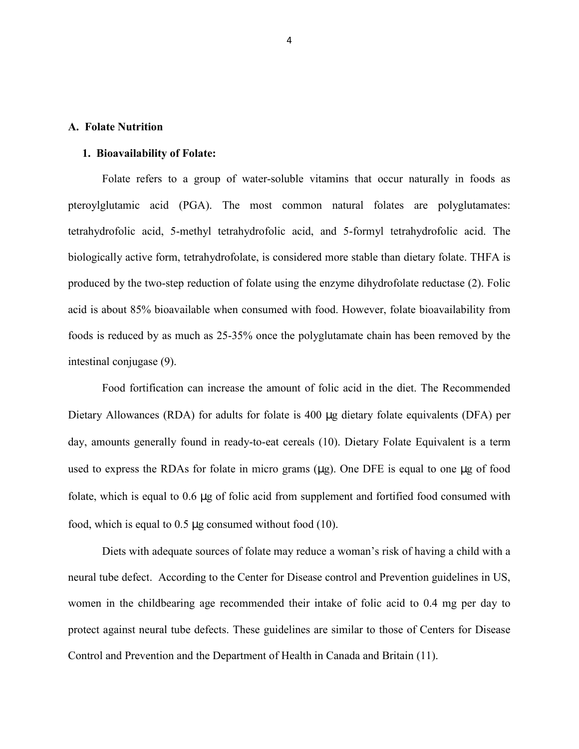#### **A. Folate Nutrition**

#### **1. Bioavailability of Folate:**

Folate refers to a group of water-soluble vitamins that occur naturally in foods as pteroylglutamic acid (PGA). The most common natural folates are polyglutamates: tetrahydrofolic acid, 5-methyl tetrahydrofolic acid, and 5-formyl tetrahydrofolic acid. The biologically active form, tetrahydrofolate, is considered more stable than dietary folate. THFA is produced by the two-step reduction of folate using the enzyme dihydrofolate reductase (2). Folic acid is about 85% bioavailable when consumed with food. However, folate bioavailability from foods is reduced by as much as 25-35% once the polyglutamate chain has been removed by the intestinal conjugase (9).

Food fortification can increase the amount of folic acid in the diet. The Recommended Dietary Allowances (RDA) for adults for folate is 400 µg dietary folate equivalents (DFA) per day, amounts generally found in ready-to-eat cereals (10). Dietary Folate Equivalent is a term used to express the RDAs for folate in micro grams (µg). One DFE is equal to one µg of food folate, which is equal to 0.6 µg of folic acid from supplement and fortified food consumed with food, which is equal to 0.5 µg consumed without food (10).

Diets with adequate sources of folate may reduce a woman's risk of having a child with a neural tube defect. According to the Center for Disease control and Prevention guidelines in US, women in the childbearing age recommended their intake of folic acid to 0.4 mg per day to protect against neural tube defects. These guidelines are similar to those of Centers for Disease Control and Prevention and the Department of Health in Canada and Britain (11).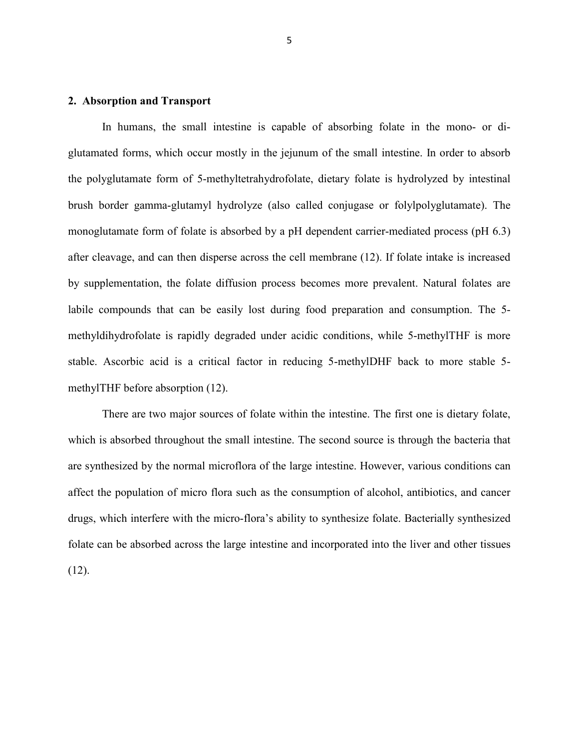#### **2. Absorption and Transport**

In humans, the small intestine is capable of absorbing folate in the mono- or diglutamated forms, which occur mostly in the jejunum of the small intestine. In order to absorb the polyglutamate form of 5-methyltetrahydrofolate, dietary folate is hydrolyzed by intestinal brush border gamma-glutamyl hydrolyze (also called conjugase or folylpolyglutamate). The monoglutamate form of folate is absorbed by a pH dependent carrier-mediated process (pH 6.3) after cleavage, and can then disperse across the cell membrane (12). If folate intake is increased by supplementation, the folate diffusion process becomes more prevalent. Natural folates are labile compounds that can be easily lost during food preparation and consumption. The 5 methyldihydrofolate is rapidly degraded under acidic conditions, while 5-methylTHF is more stable. Ascorbic acid is a critical factor in reducing 5-methylDHF back to more stable 5 methylTHF before absorption (12).

There are two major sources of folate within the intestine. The first one is dietary folate, which is absorbed throughout the small intestine. The second source is through the bacteria that are synthesized by the normal microflora of the large intestine. However, various conditions can affect the population of micro flora such as the consumption of alcohol, antibiotics, and cancer drugs, which interfere with the micro-flora's ability to synthesize folate. Bacterially synthesized folate can be absorbed across the large intestine and incorporated into the liver and other tissues  $(12)$ .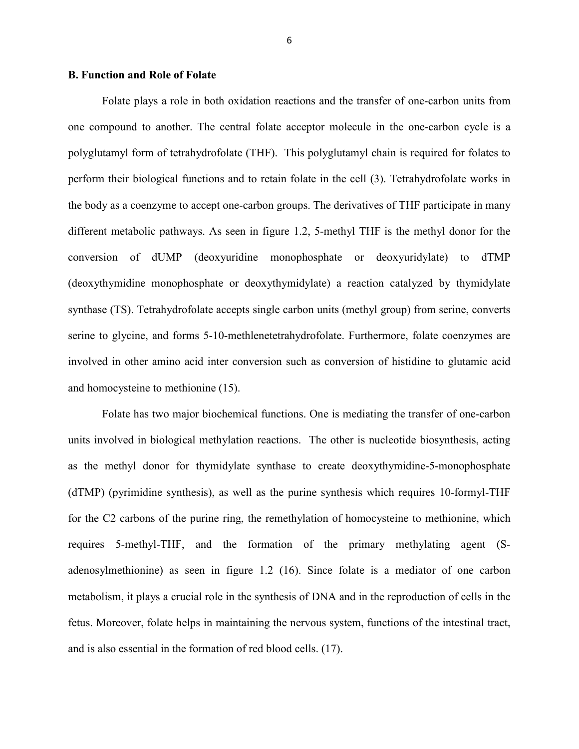#### **B. Function and Role of Folate**

Folate plays a role in both oxidation reactions and the transfer of one-carbon units from one compound to another. The central folate acceptor molecule in the one-carbon cycle is a polyglutamyl form of tetrahydrofolate (THF). This polyglutamyl chain is required for folates to perform their biological functions and to retain folate in the cell (3). Tetrahydrofolate works in the body as a coenzyme to accept one-carbon groups. The derivatives of THF participate in many different metabolic pathways. As seen in figure 1.2, 5-methyl THF is the methyl donor for the conversion of dUMP (deoxyuridine monophosphate or deoxyuridylate) to dTMP (deoxythymidine monophosphate or deoxythymidylate) a reaction catalyzed by thymidylate synthase (TS). Tetrahydrofolate accepts single carbon units (methyl group) from serine, converts serine to glycine, and forms 5-10-methlenetetrahydrofolate. Furthermore, folate coenzymes are involved in other amino acid inter conversion such as conversion of histidine to glutamic acid and homocysteine to methionine (15).

Folate has two major biochemical functions. One is mediating the transfer of one-carbon units involved in biological methylation reactions. The other is nucleotide biosynthesis, acting as the methyl donor for thymidylate synthase to create deoxythymidine-5-monophosphate (dTMP) (pyrimidine synthesis), as well as the purine synthesis which requires 10-formyl-THF for the C2 carbons of the purine ring, the remethylation of homocysteine to methionine, which requires 5-methyl-THF, and the formation of the primary methylating agent (Sadenosylmethionine) as seen in figure 1.2 (16). Since folate is a mediator of one carbon metabolism, it plays a crucial role in the synthesis of DNA and in the reproduction of cells in the fetus. Moreover, folate helps in maintaining the nervous system, functions of the intestinal tract, and is also essential in the formation of red blood cells. (17).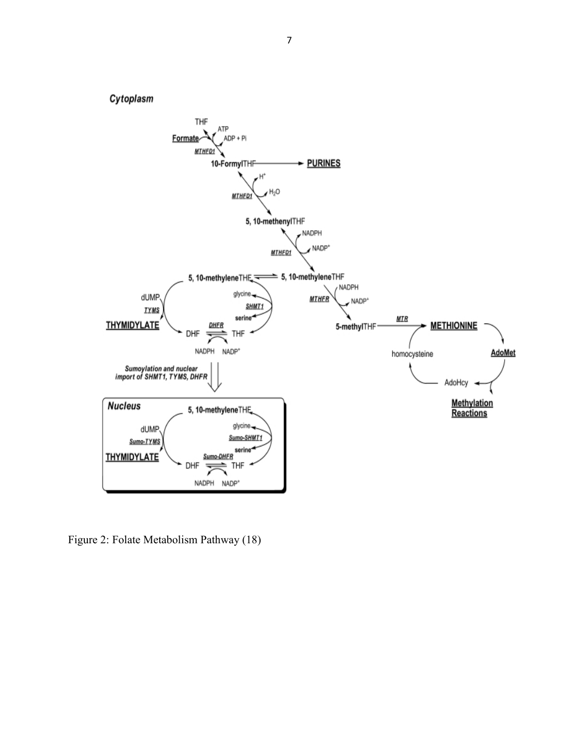

Figure 2: Folate Metabolism Pathway (18)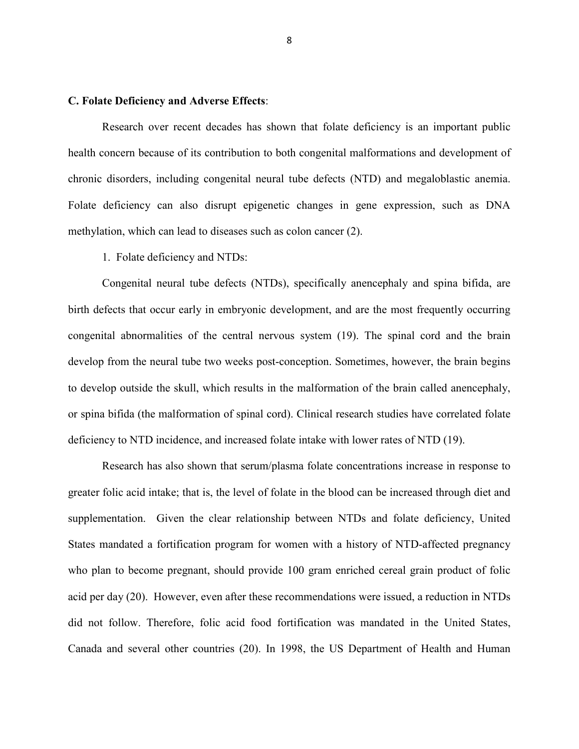#### **C. Folate Deficiency and Adverse Effects**:

Research over recent decades has shown that folate deficiency is an important public health concern because of its contribution to both congenital malformations and development of chronic disorders, including congenital neural tube defects (NTD) and megaloblastic anemia. Folate deficiency can also disrupt epigenetic changes in gene expression, such as DNA methylation, which can lead to diseases such as colon cancer (2).

1. Folate deficiency and NTDs:

Congenital neural tube defects (NTDs), specifically anencephaly and spina bifida, are birth defects that occur early in embryonic development, and are the most frequently occurring congenital abnormalities of the central nervous system (19). The spinal cord and the brain develop from the neural tube two weeks post-conception. Sometimes, however, the brain begins to develop outside the skull, which results in the malformation of the brain called anencephaly, or spina bifida (the malformation of spinal cord). Clinical research studies have correlated folate deficiency to NTD incidence, and increased folate intake with lower rates of NTD (19).

Research has also shown that serum/plasma folate concentrations increase in response to greater folic acid intake; that is, the level of folate in the blood can be increased through diet and supplementation. Given the clear relationship between NTDs and folate deficiency, United States mandated a fortification program for women with a history of NTD-affected pregnancy who plan to become pregnant, should provide 100 gram enriched cereal grain product of folic acid per day (20). However, even after these recommendations were issued, a reduction in NTDs did not follow. Therefore, folic acid food fortification was mandated in the United States, Canada and several other countries (20). In 1998, the US Department of Health and Human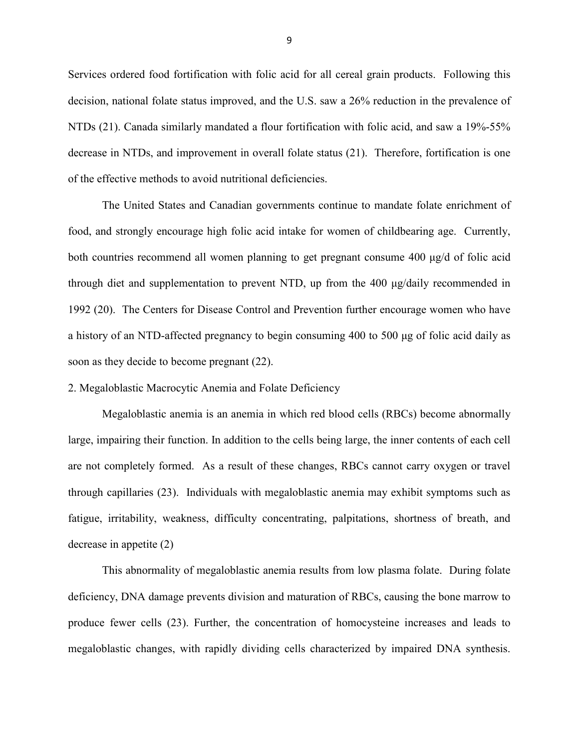Services ordered food fortification with folic acid for all cereal grain products. Following this decision, national folate status improved, and the U.S. saw a 26% reduction in the prevalence of NTDs (21). Canada similarly mandated a flour fortification with folic acid, and saw a 19%-55% decrease in NTDs, and improvement in overall folate status (21). Therefore, fortification is one of the effective methods to avoid nutritional deficiencies.

The United States and Canadian governments continue to mandate folate enrichment of food, and strongly encourage high folic acid intake for women of childbearing age. Currently, both countries recommend all women planning to get pregnant consume 400 μg/d of folic acid through diet and supplementation to prevent NTD, up from the 400 μg/daily recommended in 1992 (20). The Centers for Disease Control and Prevention further encourage women who have a history of an NTD-affected pregnancy to begin consuming 400 to 500 μg of folic acid daily as soon as they decide to become pregnant (22).

2. Megaloblastic Macrocytic Anemia and Folate Deficiency

Megaloblastic anemia is an anemia in which red blood cells (RBCs) become abnormally large, impairing their function. In addition to the cells being large, the inner contents of each cell are not completely formed. As a result of these changes, RBCs cannot carry oxygen or travel through capillaries (23). Individuals with megaloblastic anemia may exhibit symptoms such as fatigue, irritability, weakness, difficulty concentrating, palpitations, shortness of breath, and decrease in appetite (2)

This abnormality of megaloblastic anemia results from low plasma folate. During folate deficiency, DNA damage prevents division and maturation of RBCs, causing the bone marrow to produce fewer cells (23). Further, the concentration of homocysteine increases and leads to megaloblastic changes, with rapidly dividing cells characterized by impaired DNA synthesis.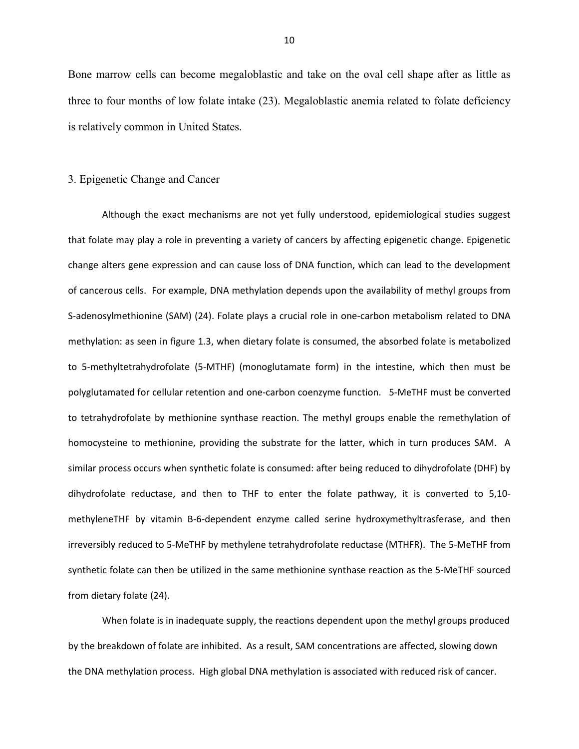Bone marrow cells can become megaloblastic and take on the oval cell shape after as little as three to four months of low folate intake (23). Megaloblastic anemia related to folate deficiency is relatively common in United States.

#### 3. Epigenetic Change and Cancer

Although the exact mechanisms are not yet fully understood, epidemiological studies suggest that folate may play a role in preventing a variety of cancers by affecting epigenetic change. Epigenetic change alters gene expression and can cause loss of DNA function, which can lead to the development of cancerous cells. For example, DNA methylation depends upon the availability of methyl groups from S-adenosylmethionine (SAM) (24). Folate plays a crucial role in one-carbon metabolism related to DNA methylation: as seen in figure 1.3, when dietary folate is consumed, the absorbed folate is metabolized to 5-methyltetrahydrofolate (5-MTHF) (monoglutamate form) in the intestine, which then must be polyglutamated for cellular retention and one-carbon coenzyme function. 5-MeTHF must be converted to tetrahydrofolate by methionine synthase reaction. The methyl groups enable the remethylation of homocysteine to methionine, providing the substrate for the latter, which in turn produces SAM. A similar process occurs when synthetic folate is consumed: after being reduced to dihydrofolate (DHF) by dihydrofolate reductase, and then to THF to enter the folate pathway, it is converted to 5,10 methyleneTHF by vitamin B-6-dependent enzyme called serine hydroxymethyltrasferase, and then irreversibly reduced to 5-MeTHF by methylene tetrahydrofolate reductase (MTHFR). The 5-MeTHF from synthetic folate can then be utilized in the same methionine synthase reaction as the 5-MeTHF sourced from dietary folate (24).

 When folate is in inadequate supply, the reactions dependent upon the methyl groups produced by the breakdown of folate are inhibited. As a result, SAM concentrations are affected, slowing down the DNA methylation process. High global DNA methylation is associated with reduced risk of cancer.

10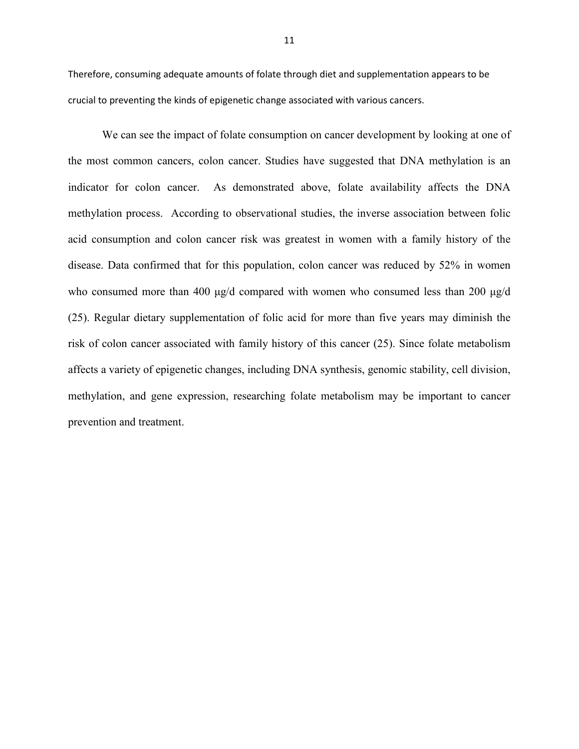Therefore, consuming adequate amounts of folate through diet and supplementation appears to be crucial to preventing the kinds of epigenetic change associated with various cancers.

 We can see the impact of folate consumption on cancer development by looking at one of the most common cancers, colon cancer. Studies have suggested that DNA methylation is an indicator for colon cancer. As demonstrated above, folate availability affects the DNA methylation process. According to observational studies, the inverse association between folic acid consumption and colon cancer risk was greatest in women with a family history of the disease. Data confirmed that for this population, colon cancer was reduced by 52% in women who consumed more than 400 μg/d compared with women who consumed less than 200 μg/d (25). Regular dietary supplementation of folic acid for more than five years may diminish the risk of colon cancer associated with family history of this cancer (25). Since folate metabolism affects a variety of epigenetic changes, including DNA synthesis, genomic stability, cell division, methylation, and gene expression, researching folate metabolism may be important to cancer prevention and treatment.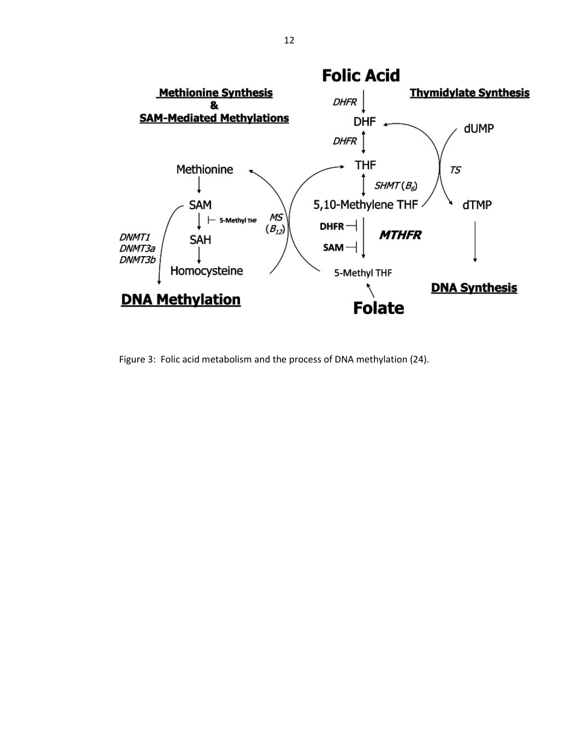

Figure 3: Folic acid metabolism and the process of DNA methylation (24).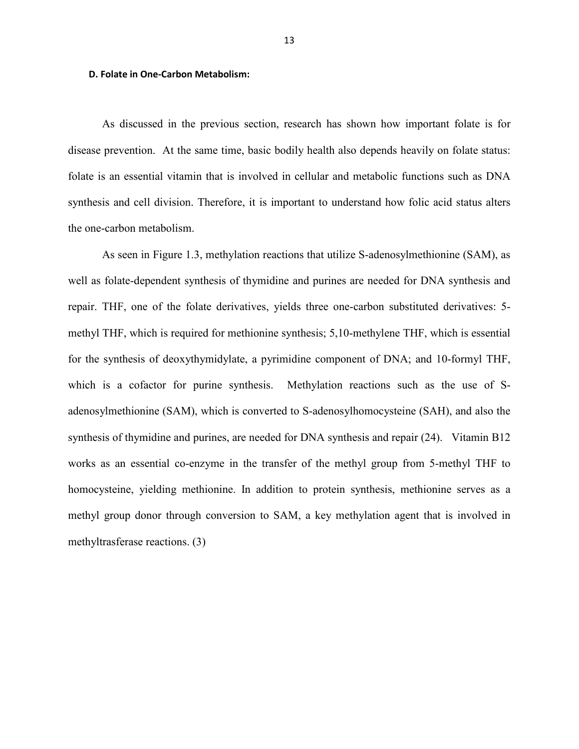#### **D. Folate in One-Carbon Metabolism:**

As discussed in the previous section, research has shown how important folate is for disease prevention. At the same time, basic bodily health also depends heavily on folate status: folate is an essential vitamin that is involved in cellular and metabolic functions such as DNA synthesis and cell division. Therefore, it is important to understand how folic acid status alters the one-carbon metabolism.

As seen in Figure 1.3, methylation reactions that utilize S-adenosylmethionine (SAM), as well as folate-dependent synthesis of thymidine and purines are needed for DNA synthesis and repair. THF, one of the folate derivatives, yields three one-carbon substituted derivatives: 5 methyl THF, which is required for methionine synthesis; 5,10-methylene THF, which is essential for the synthesis of deoxythymidylate, a pyrimidine component of DNA; and 10-formyl THF, which is a cofactor for purine synthesis. Methylation reactions such as the use of Sadenosylmethionine (SAM), which is converted to S-adenosylhomocysteine (SAH), and also the synthesis of thymidine and purines, are needed for DNA synthesis and repair (24). Vitamin B12 works as an essential co-enzyme in the transfer of the methyl group from 5-methyl THF to homocysteine, yielding methionine. In addition to protein synthesis, methionine serves as a methyl group donor through conversion to SAM, a key methylation agent that is involved in methyltrasferase reactions. (3)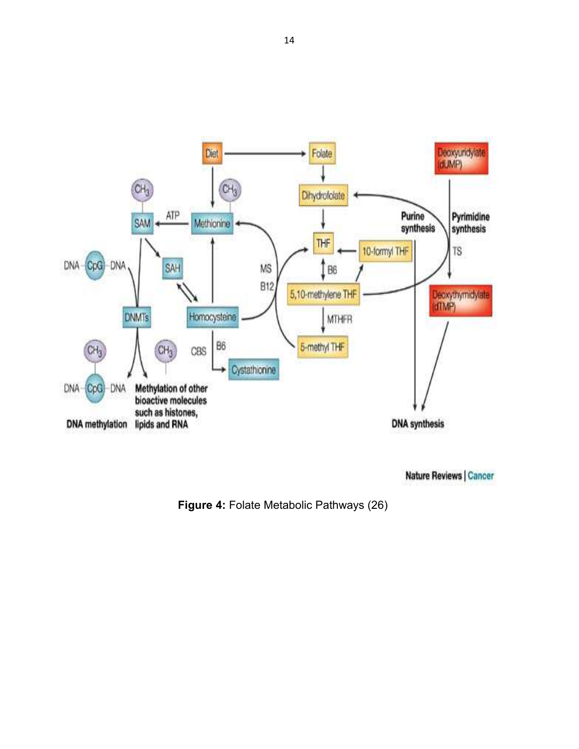

Nature Reviews | Cancer

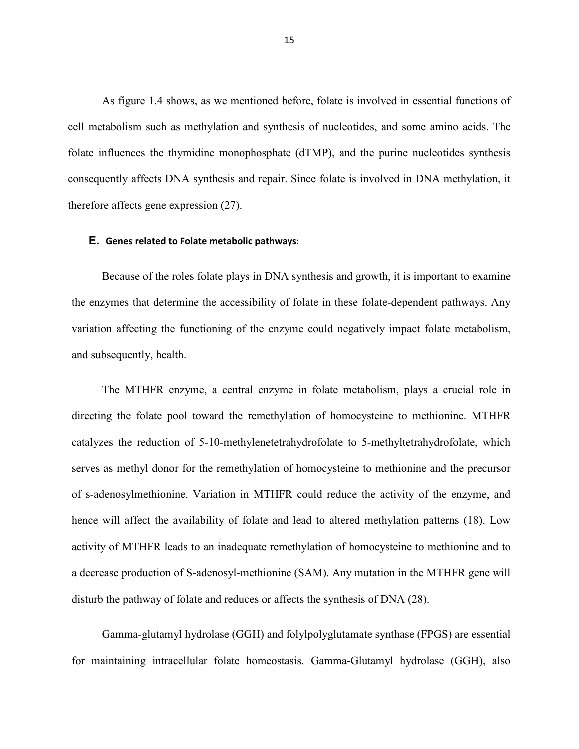As figure 1.4 shows, as we mentioned before, folate is involved in essential functions of cell metabolism such as methylation and synthesis of nucleotides, and some amino acids. The folate influences the thymidine monophosphate (dTMP), and the purine nucleotides synthesis consequently affects DNA synthesis and repair. Since folate is involved in DNA methylation, it therefore affects gene expression (27).

#### **E. Genes related to Folate metabolic pathways**:

Because of the roles folate plays in DNA synthesis and growth, it is important to examine the enzymes that determine the accessibility of folate in these folate-dependent pathways. Any variation affecting the functioning of the enzyme could negatively impact folate metabolism, and subsequently, health.

The MTHFR enzyme, a central enzyme in folate metabolism, plays a crucial role in directing the folate pool toward the remethylation of homocysteine to methionine. MTHFR catalyzes the reduction of 5-10-methylenetetrahydrofolate to 5-methyltetrahydrofolate, which serves as methyl donor for the remethylation of homocysteine to methionine and the precursor of s-adenosylmethionine. Variation in MTHFR could reduce the activity of the enzyme, and hence will affect the availability of folate and lead to altered methylation patterns (18). Low activity of MTHFR leads to an inadequate remethylation of homocysteine to methionine and to a decrease production of S-adenosyl-methionine (SAM). Any mutation in the MTHFR gene will disturb the pathway of folate and reduces or affects the synthesis of DNA (28).

Gamma-glutamyl hydrolase (GGH) and folylpolyglutamate synthase (FPGS) are essential for maintaining intracellular folate homeostasis. Gamma-Glutamyl hydrolase (GGH), also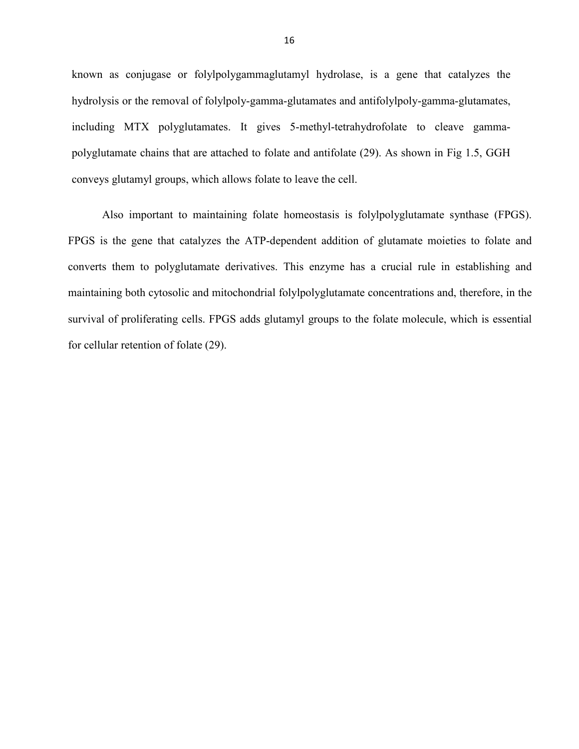known as conjugase or folylpolygammaglutamyl hydrolase, is a gene that catalyzes the hydrolysis or the removal of folylpoly-gamma-glutamates and antifolylpoly-gamma-glutamates, including MTX polyglutamates. It gives 5-methyl-tetrahydrofolate to cleave gammapolyglutamate chains that are attached to folate and antifolate (29). As shown in Fig 1.5, GGH conveys glutamyl groups, which allows folate to leave the cell.

Also important to maintaining folate homeostasis is folylpolyglutamate synthase (FPGS). FPGS is the gene that catalyzes the ATP-dependent addition of glutamate moieties to folate and converts them to polyglutamate derivatives. This enzyme has a crucial rule in establishing and maintaining both cytosolic and mitochondrial folylpolyglutamate concentrations and, therefore, in the survival of proliferating cells. FPGS adds glutamyl groups to the folate molecule, which is essential for cellular retention of folate (29).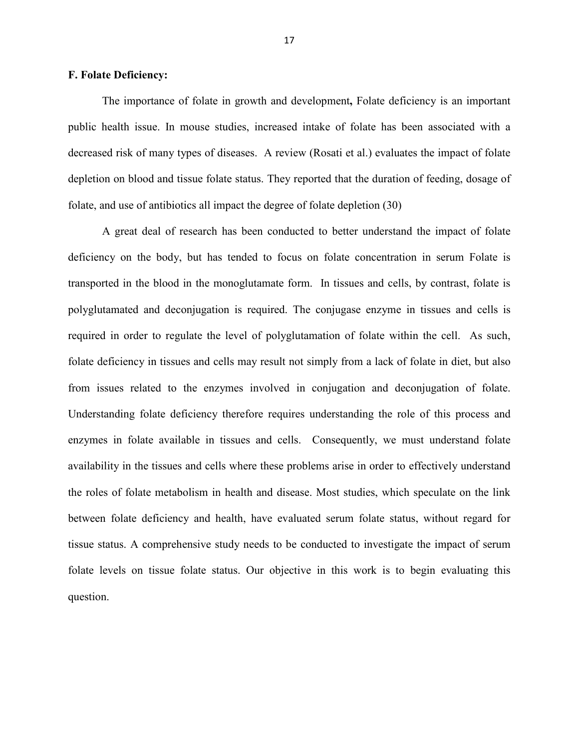#### **F. Folate Deficiency:**

The importance of folate in growth and development**,** Folate deficiency is an important public health issue. In mouse studies, increased intake of folate has been associated with a decreased risk of many types of diseases. A review (Rosati et al.) evaluates the impact of folate depletion on blood and tissue folate status. They reported that the duration of feeding, dosage of folate, and use of antibiotics all impact the degree of folate depletion (30)

A great deal of research has been conducted to better understand the impact of folate deficiency on the body, but has tended to focus on folate concentration in serum Folate is transported in the blood in the monoglutamate form. In tissues and cells, by contrast, folate is polyglutamated and deconjugation is required. The conjugase enzyme in tissues and cells is required in order to regulate the level of polyglutamation of folate within the cell. As such, folate deficiency in tissues and cells may result not simply from a lack of folate in diet, but also from issues related to the enzymes involved in conjugation and deconjugation of folate. Understanding folate deficiency therefore requires understanding the role of this process and enzymes in folate available in tissues and cells. Consequently, we must understand folate availability in the tissues and cells where these problems arise in order to effectively understand the roles of folate metabolism in health and disease. Most studies, which speculate on the link between folate deficiency and health, have evaluated serum folate status, without regard for tissue status. A comprehensive study needs to be conducted to investigate the impact of serum folate levels on tissue folate status. Our objective in this work is to begin evaluating this question.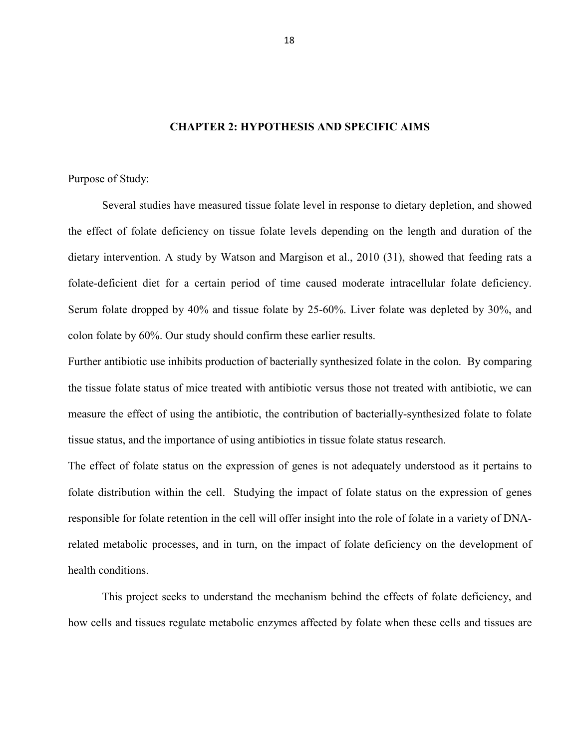#### **CHAPTER 2: HYPOTHESIS AND SPECIFIC AIMS**

Purpose of Study:

Several studies have measured tissue folate level in response to dietary depletion, and showed the effect of folate deficiency on tissue folate levels depending on the length and duration of the dietary intervention. A study by Watson and Margison et al., 2010 (31), showed that feeding rats a folate-deficient diet for a certain period of time caused moderate intracellular folate deficiency. Serum folate dropped by 40% and tissue folate by 25-60%. Liver folate was depleted by 30%, and colon folate by 60%. Our study should confirm these earlier results.

Further antibiotic use inhibits production of bacterially synthesized folate in the colon. By comparing the tissue folate status of mice treated with antibiotic versus those not treated with antibiotic, we can measure the effect of using the antibiotic, the contribution of bacterially-synthesized folate to folate tissue status, and the importance of using antibiotics in tissue folate status research.

The effect of folate status on the expression of genes is not adequately understood as it pertains to folate distribution within the cell. Studying the impact of folate status on the expression of genes responsible for folate retention in the cell will offer insight into the role of folate in a variety of DNArelated metabolic processes, and in turn, on the impact of folate deficiency on the development of health conditions.

 This project seeks to understand the mechanism behind the effects of folate deficiency, and how cells and tissues regulate metabolic enzymes affected by folate when these cells and tissues are

18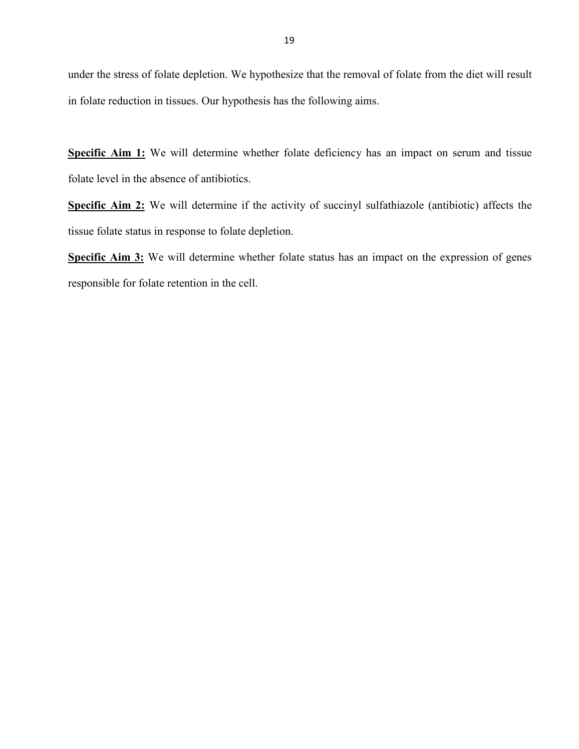under the stress of folate depletion. We hypothesize that the removal of folate from the diet will result in folate reduction in tissues. Our hypothesis has the following aims.

**Specific Aim 1:** We will determine whether folate deficiency has an impact on serum and tissue folate level in the absence of antibiotics.

**Specific Aim 2:** We will determine if the activity of succinyl sulfathiazole (antibiotic) affects the tissue folate status in response to folate depletion.

Specific Aim 3: We will determine whether folate status has an impact on the expression of genes responsible for folate retention in the cell.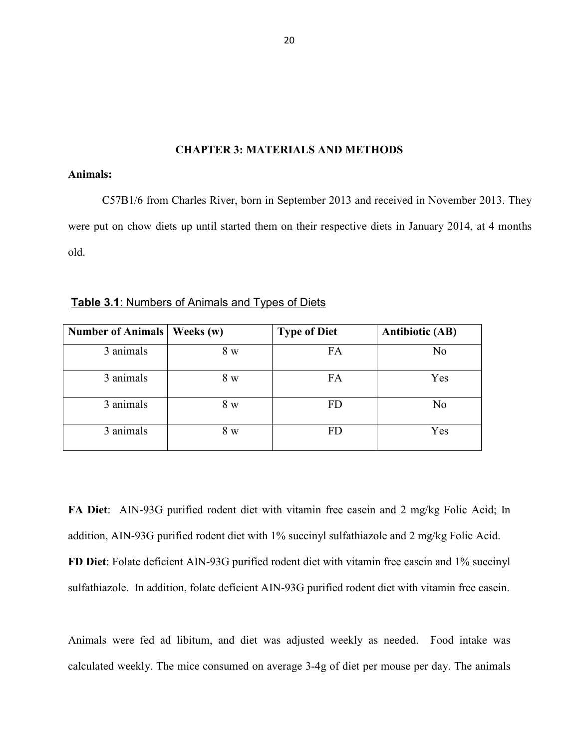#### **CHAPTER 3: MATERIALS AND METHODS**

### **Animals:**

 C57B1/6 from Charles River, born in September 2013 and received in November 2013. They were put on chow diets up until started them on their respective diets in January 2014, at 4 months old.

| <b>Number of Animals</b> | Weeks (w) | <b>Type of Diet</b> | <b>Antibiotic (AB)</b> |
|--------------------------|-----------|---------------------|------------------------|
| 3 animals                | 8 w       | FA                  | N <sub>0</sub>         |
| 3 animals                | 8 w       | FA                  | Yes                    |
| 3 animals                | 8 w       | FD                  | N <sub>0</sub>         |
| 3 animals                | 8 w       | <b>FD</b>           | Yes                    |

**Table 3.1**: Numbers of Animals and Types of Diets

**FA Diet**: AIN-93G purified rodent diet with vitamin free casein and 2 mg/kg Folic Acid; In addition, AIN-93G purified rodent diet with 1% succinyl sulfathiazole and 2 mg/kg Folic Acid. **FD Diet**: Folate deficient AIN-93G purified rodent diet with vitamin free casein and 1% succinyl sulfathiazole. In addition, folate deficient AIN-93G purified rodent diet with vitamin free casein.

Animals were fed ad libitum, and diet was adjusted weekly as needed. Food intake was calculated weekly. The mice consumed on average 3-4g of diet per mouse per day. The animals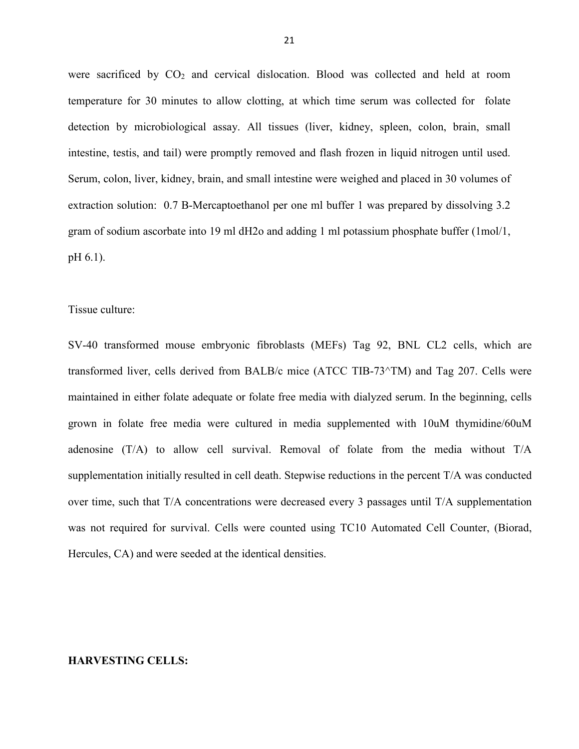were sacrificed by  $CO<sub>2</sub>$  and cervical dislocation. Blood was collected and held at room temperature for 30 minutes to allow clotting, at which time serum was collected for folate detection by microbiological assay. All tissues (liver, kidney, spleen, colon, brain, small intestine, testis, and tail) were promptly removed and flash frozen in liquid nitrogen until used. Serum, colon, liver, kidney, brain, and small intestine were weighed and placed in 30 volumes of extraction solution: 0.7 B-Mercaptoethanol per one ml buffer 1 was prepared by dissolving 3.2 gram of sodium ascorbate into 19 ml dH2o and adding 1 ml potassium phosphate buffer (1mol/1, pH 6.1).

Tissue culture:

SV-40 transformed mouse embryonic fibroblasts (MEFs) Tag 92, BNL CL2 cells, which are transformed liver, cells derived from BALB/c mice (ATCC TIB-73^TM) and Tag 207. Cells were maintained in either folate adequate or folate free media with dialyzed serum. In the beginning, cells grown in folate free media were cultured in media supplemented with 10uM thymidine/60uM adenosine (T/A) to allow cell survival. Removal of folate from the media without T/A supplementation initially resulted in cell death. Stepwise reductions in the percent T/A was conducted over time, such that T/A concentrations were decreased every 3 passages until T/A supplementation was not required for survival. Cells were counted using TC10 Automated Cell Counter, (Biorad, Hercules, CA) and were seeded at the identical densities.

## **HARVESTING CELLS:**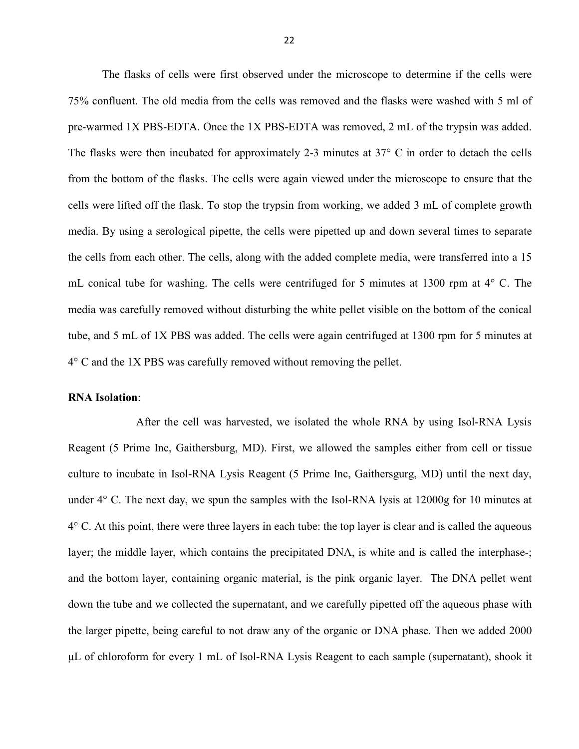The flasks of cells were first observed under the microscope to determine if the cells were 75% confluent. The old media from the cells was removed and the flasks were washed with 5 ml of pre-warmed 1X PBS-EDTA. Once the 1X PBS-EDTA was removed, 2 mL of the trypsin was added. The flasks were then incubated for approximately 2-3 minutes at 37° C in order to detach the cells from the bottom of the flasks. The cells were again viewed under the microscope to ensure that the cells were lifted off the flask. To stop the trypsin from working, we added 3 mL of complete growth media. By using a serological pipette, the cells were pipetted up and down several times to separate the cells from each other. The cells, along with the added complete media, were transferred into a 15 mL conical tube for washing. The cells were centrifuged for 5 minutes at 1300 rpm at 4° C. The media was carefully removed without disturbing the white pellet visible on the bottom of the conical tube, and 5 mL of 1X PBS was added. The cells were again centrifuged at 1300 rpm for 5 minutes at 4° C and the 1X PBS was carefully removed without removing the pellet.

#### **RNA Isolation**:

 After the cell was harvested, we isolated the whole RNA by using Isol-RNA Lysis Reagent (5 Prime Inc, Gaithersburg, MD). First, we allowed the samples either from cell or tissue culture to incubate in Isol-RNA Lysis Reagent (5 Prime Inc, Gaithersgurg, MD) until the next day, under 4° C. The next day, we spun the samples with the Isol-RNA lysis at 12000g for 10 minutes at 4° C. At this point, there were three layers in each tube: the top layer is clear and is called the aqueous layer; the middle layer, which contains the precipitated DNA, is white and is called the interphase-; and the bottom layer, containing organic material, is the pink organic layer. The DNA pellet went down the tube and we collected the supernatant, and we carefully pipetted off the aqueous phase with the larger pipette, being careful to not draw any of the organic or DNA phase. Then we added 2000 μL of chloroform for every 1 mL of Isol-RNA Lysis Reagent to each sample (supernatant), shook it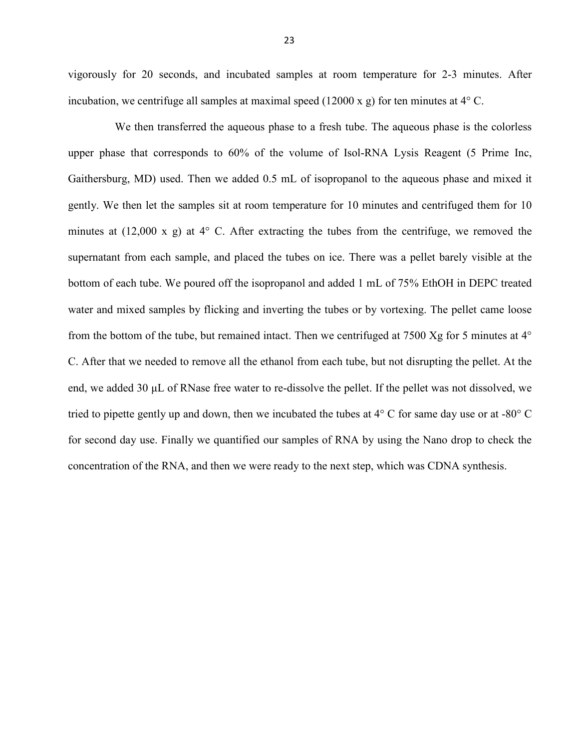vigorously for 20 seconds, and incubated samples at room temperature for 2-3 minutes. After incubation, we centrifuge all samples at maximal speed (12000 x g) for ten minutes at 4° C.

We then transferred the aqueous phase to a fresh tube. The aqueous phase is the colorless upper phase that corresponds to 60% of the volume of Isol-RNA Lysis Reagent (5 Prime Inc, Gaithersburg, MD) used. Then we added 0.5 mL of isopropanol to the aqueous phase and mixed it gently. We then let the samples sit at room temperature for 10 minutes and centrifuged them for 10 minutes at (12,000 x g) at  $4^{\circ}$  C. After extracting the tubes from the centrifuge, we removed the supernatant from each sample, and placed the tubes on ice. There was a pellet barely visible at the bottom of each tube. We poured off the isopropanol and added 1 mL of 75% EthOH in DEPC treated water and mixed samples by flicking and inverting the tubes or by vortexing. The pellet came loose from the bottom of the tube, but remained intact. Then we centrifuged at 7500 Xg for 5 minutes at 4° C. After that we needed to remove all the ethanol from each tube, but not disrupting the pellet. At the end, we added 30 μL of RNase free water to re-dissolve the pellet. If the pellet was not dissolved, we tried to pipette gently up and down, then we incubated the tubes at 4° C for same day use or at -80° C for second day use. Finally we quantified our samples of RNA by using the Nano drop to check the concentration of the RNA, and then we were ready to the next step, which was CDNA synthesis.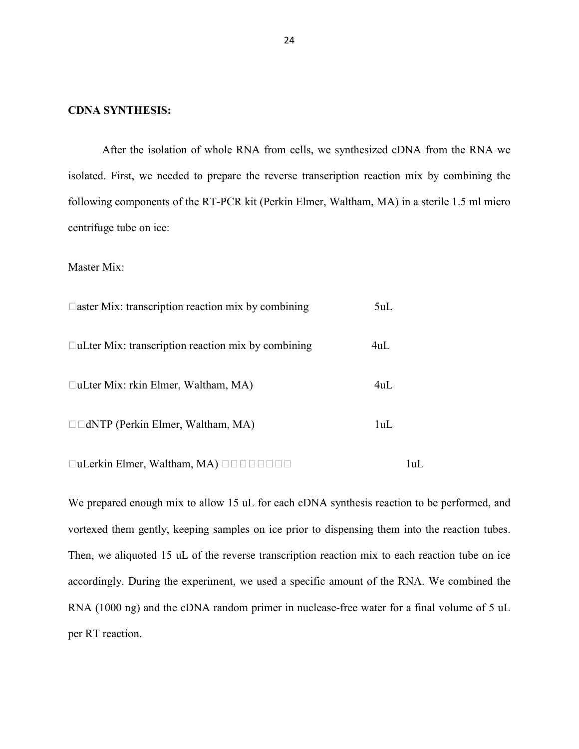#### **CDNA SYNTHESIS:**

After the isolation of whole RNA from cells, we synthesized cDNA from the RNA we isolated. First, we needed to prepare the reverse transcription reaction mix by combining the following components of the RT-PCR kit (Perkin Elmer, Waltham, MA) in a sterile 1.5 ml micro centrifuge tube on ice:

Master Mix:

| $\Box$ aster Mix: transcription reaction mix by combining | 5uL |
|-----------------------------------------------------------|-----|
| $\Box$ uLter Mix: transcription reaction mix by combining | 4uL |
| $\Box$ uLter Mix: rkin Elmer, Waltham, MA)                | 4ul |
| $\Box$ dNTP (Perkin Elmer, Waltham, MA)                   | 1uL |

uLerkin Elmer, Waltham, MA) 1uL

We prepared enough mix to allow 15 uL for each cDNA synthesis reaction to be performed, and vortexed them gently, keeping samples on ice prior to dispensing them into the reaction tubes. Then, we aliquoted 15 uL of the reverse transcription reaction mix to each reaction tube on ice accordingly. During the experiment, we used a specific amount of the RNA. We combined the RNA (1000 ng) and the cDNA random primer in nuclease-free water for a final volume of 5 uL per RT reaction.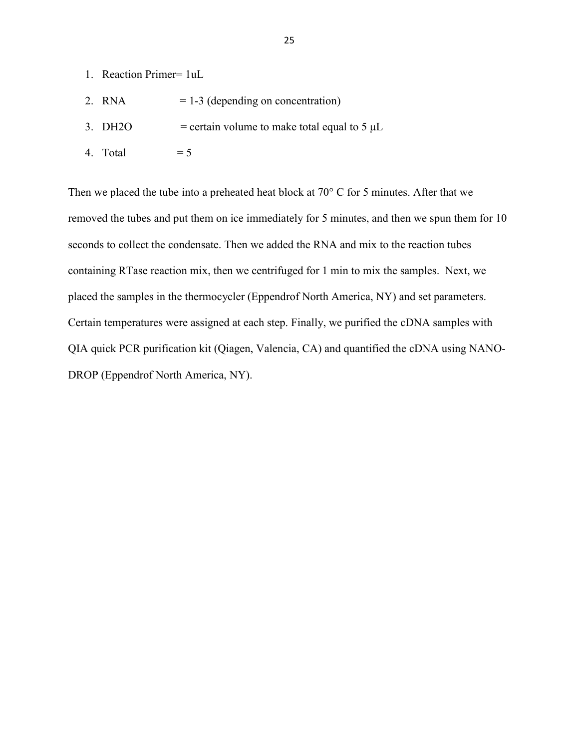- 1. Reaction Primer= 1uL
- 2. RNA  $= 1-3$  (depending on concentration)
- 3. DH2O  $=$  certain volume to make total equal to 5  $\mu$ L
- 4. Total  $= 5$

Then we placed the tube into a preheated heat block at 70° C for 5 minutes. After that we removed the tubes and put them on ice immediately for 5 minutes, and then we spun them for 10 seconds to collect the condensate. Then we added the RNA and mix to the reaction tubes containing RTase reaction mix, then we centrifuged for 1 min to mix the samples. Next, we placed the samples in the thermocycler (Eppendrof North America, NY) and set parameters. Certain temperatures were assigned at each step. Finally, we purified the cDNA samples with QIA quick PCR purification kit (Qiagen, Valencia, CA) and quantified the cDNA using NANO-DROP (Eppendrof North America, NY).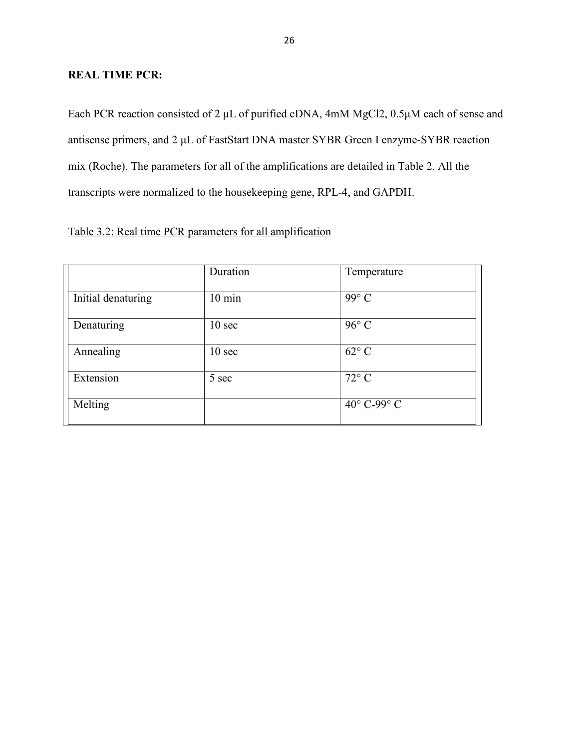## **REAL TIME PCR:**

Each PCR reaction consisted of 2 μL of purified cDNA, 4mM MgCl2, 0.5μM each of sense and antisense primers, and 2 μL of FastStart DNA master SYBR Green I enzyme-SYBR reaction mix (Roche). The parameters for all of the amplifications are detailed in Table 2. All the transcripts were normalized to the housekeeping gene, RPL-4, and GAPDH.

|                    | Duration          | Temperature    |
|--------------------|-------------------|----------------|
| Initial denaturing | $10 \text{ min}$  | 99° C          |
| Denaturing         | 10 <sub>sec</sub> | $96^{\circ}$ C |
| Annealing          | $10 \text{ sec}$  | $62^{\circ}$ C |
| Extension          | 5 sec             | $72^{\circ}$ C |
| Melting            |                   | 40° C-99° C    |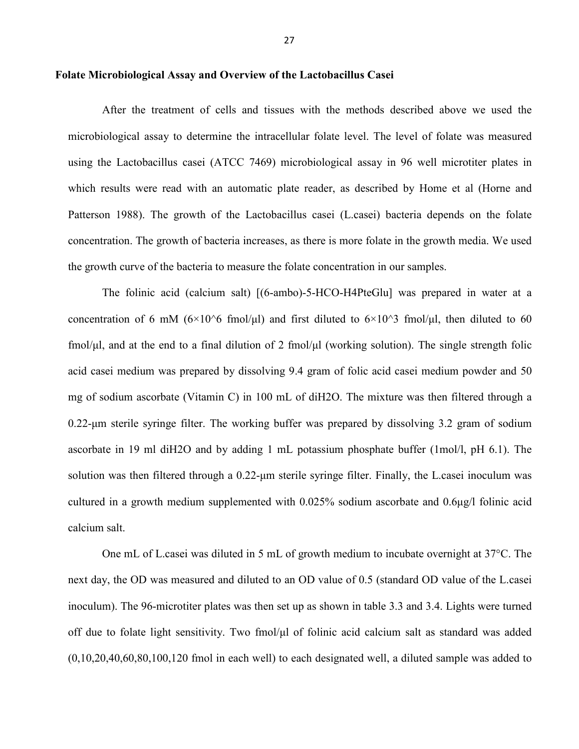#### **Folate Microbiological Assay and Overview of the Lactobacillus Casei**

After the treatment of cells and tissues with the methods described above we used the microbiological assay to determine the intracellular folate level. The level of folate was measured using the Lactobacillus casei (ATCC 7469) microbiological assay in 96 well microtiter plates in which results were read with an automatic plate reader, as described by Home et al (Horne and Patterson 1988). The growth of the Lactobacillus casei (L.casei) bacteria depends on the folate concentration. The growth of bacteria increases, as there is more folate in the growth media. We used the growth curve of the bacteria to measure the folate concentration in our samples.

The folinic acid (calcium salt) [(6-ambo)-5-HCO-H4PteGlu] was prepared in water at a concentration of 6 mM ( $6\times10^6$  fmol/μl) and first diluted to  $6\times10^3$  fmol/μl, then diluted to 60 fmol/μl, and at the end to a final dilution of 2 fmol/μl (working solution). The single strength folic acid casei medium was prepared by dissolving 9.4 gram of folic acid casei medium powder and 50 mg of sodium ascorbate (Vitamin C) in 100 mL of diH2O. The mixture was then filtered through a 0.22-μm sterile syringe filter. The working buffer was prepared by dissolving 3.2 gram of sodium ascorbate in 19 ml diH2O and by adding 1 mL potassium phosphate buffer (1mol/l, pH 6.1). The solution was then filtered through a 0.22-μm sterile syringe filter. Finally, the L.casei inoculum was cultured in a growth medium supplemented with 0.025% sodium ascorbate and 0.6μg/l folinic acid calcium salt.

One mL of L.casei was diluted in 5 mL of growth medium to incubate overnight at 37°C. The next day, the OD was measured and diluted to an OD value of 0.5 (standard OD value of the L.casei inoculum). The 96-microtiter plates was then set up as shown in table 3.3 and 3.4. Lights were turned off due to folate light sensitivity. Two fmol/μl of folinic acid calcium salt as standard was added (0,10,20,40,60,80,100,120 fmol in each well) to each designated well, a diluted sample was added to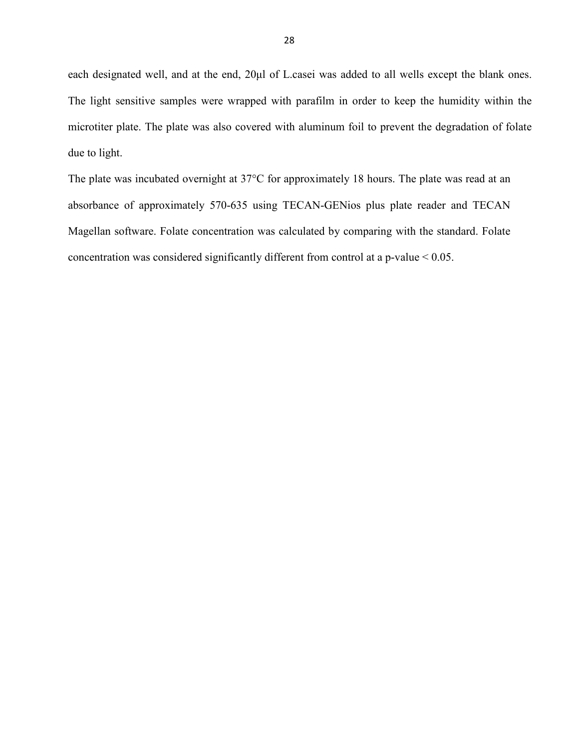each designated well, and at the end, 20μl of L.casei was added to all wells except the blank ones. The light sensitive samples were wrapped with parafilm in order to keep the humidity within the microtiter plate. The plate was also covered with aluminum foil to prevent the degradation of folate due to light.

The plate was incubated overnight at 37°C for approximately 18 hours. The plate was read at an absorbance of approximately 570-635 using TECAN-GENios plus plate reader and TECAN Magellan software. Folate concentration was calculated by comparing with the standard. Folate concentration was considered significantly different from control at a p-value < 0.05.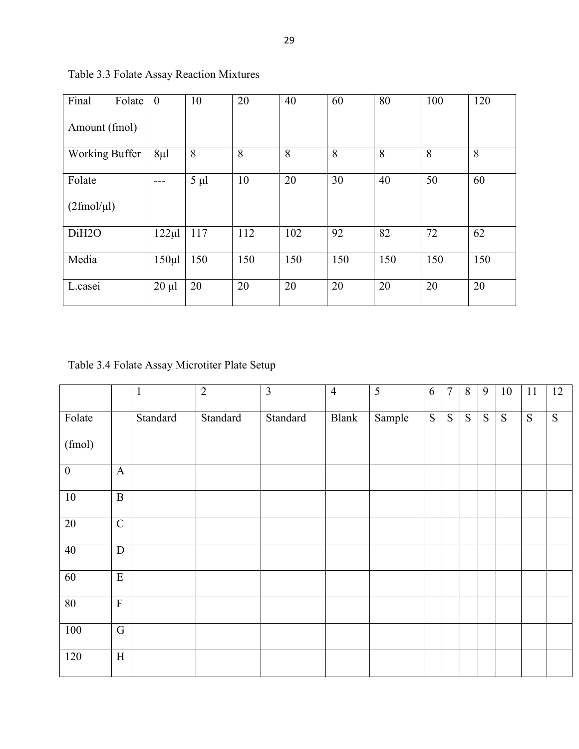| Final<br>Folate         | $\overline{0}$ | 10        | 20  | 40  | 60  | 80  | 100 | 120 |
|-------------------------|----------------|-----------|-----|-----|-----|-----|-----|-----|
| Amount (fmol)           |                |           |     |     |     |     |     |     |
| <b>Working Buffer</b>   | $8\mu$         | 8         | 8   | 8   | 8   | 8   | 8   | 8   |
| Folate                  |                | $5 \mu l$ | 10  | 20  | 30  | 40  | 50  | 60  |
| $(2 \text{fmol}/\mu l)$ |                |           |     |     |     |     |     |     |
| DiH <sub>20</sub>       | $122 \mu$ l    | 117       | 112 | 102 | 92  | 82  | 72  | 62  |
| Media                   | $150 \mu$      | 150       | 150 | 150 | 150 | 150 | 150 | 150 |
| L.casei                 | $20 \mu l$     | 20        | 20  | 20  | 20  | 20  | 20  | 20  |

Table 3.3 Folate Assay Reaction Mixtures

Table 3.4 Folate Assay Microtiter Plate Setup

|                  |                         | $\mathbf{1}$ | $\overline{2}$ | $\overline{3}$ | $\overline{4}$ | 5      | 6              | $\overline{7}$ | 8         | 9              | 10             | 11        | 12             |
|------------------|-------------------------|--------------|----------------|----------------|----------------|--------|----------------|----------------|-----------|----------------|----------------|-----------|----------------|
| Folate           |                         | Standard     | Standard       | Standard       | <b>Blank</b>   | Sample | $\overline{S}$ | ${\bf S}$      | ${\bf S}$ | $\overline{S}$ | $\overline{S}$ | ${\bf S}$ | $\overline{S}$ |
| (fmol)           |                         |              |                |                |                |        |                |                |           |                |                |           |                |
| $\boldsymbol{0}$ | $\mathbf{A}$            |              |                |                |                |        |                |                |           |                |                |           |                |
| $10\,$           | $\, {\bf B}$            |              |                |                |                |        |                |                |           |                |                |           |                |
| $\overline{20}$  | $\overline{C}$          |              |                |                |                |        |                |                |           |                |                |           |                |
| 40               | D                       |              |                |                |                |        |                |                |           |                |                |           |                |
| 60               | $\mathbf E$             |              |                |                |                |        |                |                |           |                |                |           |                |
| 80               | $\overline{\mathrm{F}}$ |              |                |                |                |        |                |                |           |                |                |           |                |
| 100              | $\mathbf G$             |              |                |                |                |        |                |                |           |                |                |           |                |
| 120              | $\mathbf H$             |              |                |                |                |        |                |                |           |                |                |           |                |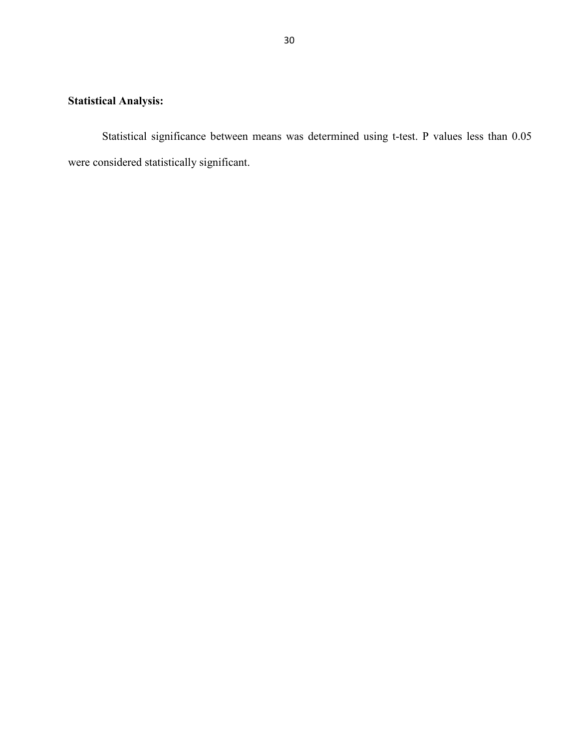## **Statistical Analysis:**

Statistical significance between means was determined using t-test. P values less than 0.05 were considered statistically significant.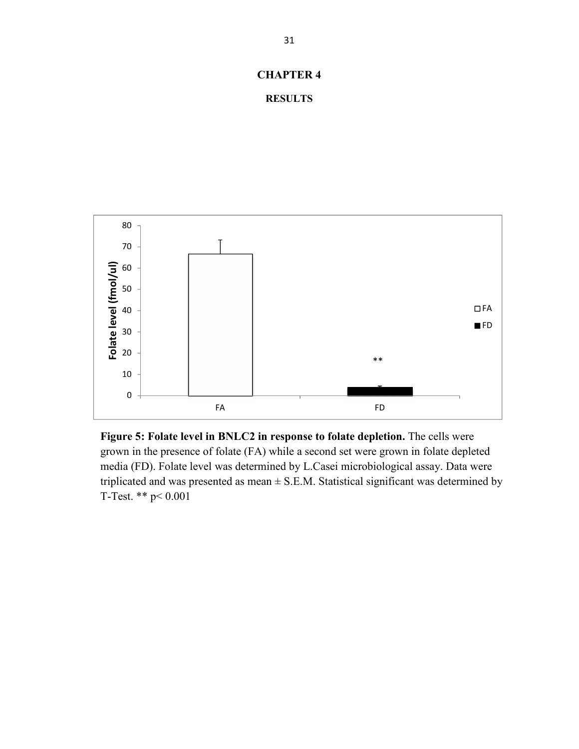## **CHAPTER 4**

```
RESULTS
```


**Figure 5: Folate level in BNLC2 in response to folate depletion.** The cells were grown in the presence of folate (FA) while a second set were grown in folate depleted media (FD). Folate level was determined by L.Casei microbiological assay. Data were triplicated and was presented as mean  $\pm$  S.E.M. Statistical significant was determined by T-Test. \*\* p< 0.001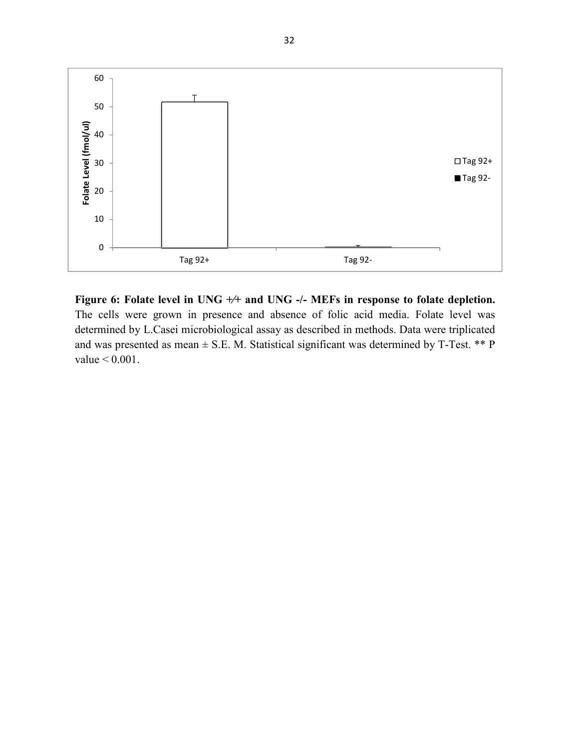

**Figure 6: Folate level in UNG +⁄+ and UNG -/- MEFs in response to folate depletion.** The cells were grown in presence and absence of folic acid media. Folate level was determined by L.Casei microbiological assay as described in methods. Data were triplicated and was presented as mean  $\pm$  S.E. M. Statistical significant was determined by T-Test. \*\* P value < 0.001.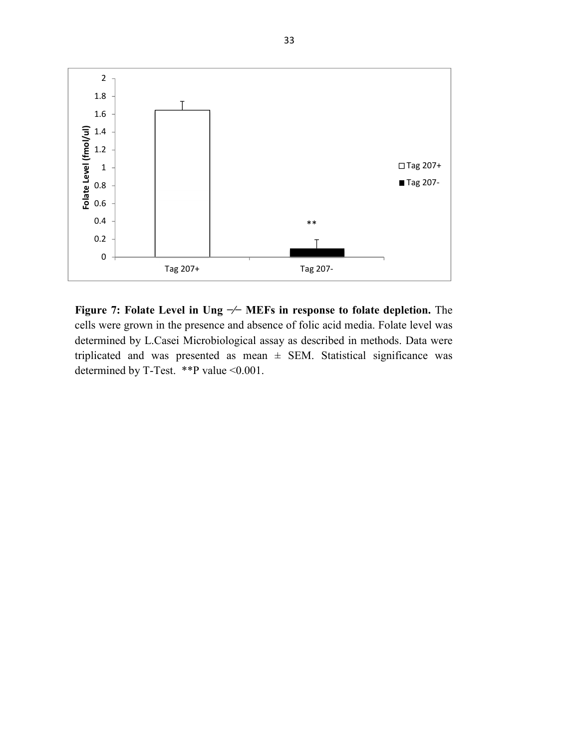

**Figure 7: Folate Level in Ung −⁄− MEFs in response to folate depletion.** The cells were grown in the presence and absence of folic acid media. Folate level was determined by L.Casei Microbiological assay as described in methods. Data were triplicated and was presented as mean  $\pm$  SEM. Statistical significance was determined by T-Test. \*\*P value <0.001.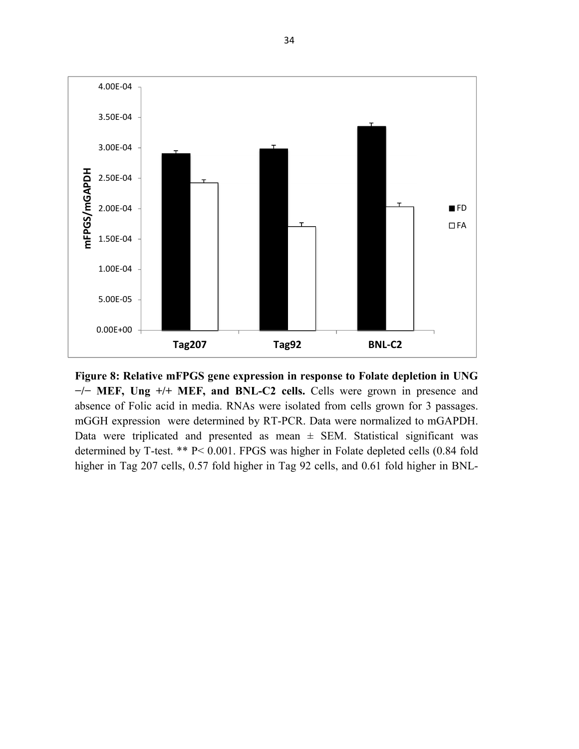

**Figure 8: Relative mFPGS gene expression in response to Folate depletion in UNG −/− MEF, Ung +/+ MEF, and BNL-C2 cells.** Cells were grown in presence and absence of Folic acid in media. RNAs were isolated from cells grown for 3 passages. mGGH expression were determined by RT-PCR. Data were normalized to mGAPDH. Data were triplicated and presented as mean  $\pm$  SEM. Statistical significant was determined by T-test. \*\* P< 0.001. FPGS was higher in Folate depleted cells (0.84 fold higher in Tag 207 cells, 0.57 fold higher in Tag 92 cells, and 0.61 fold higher in BNL-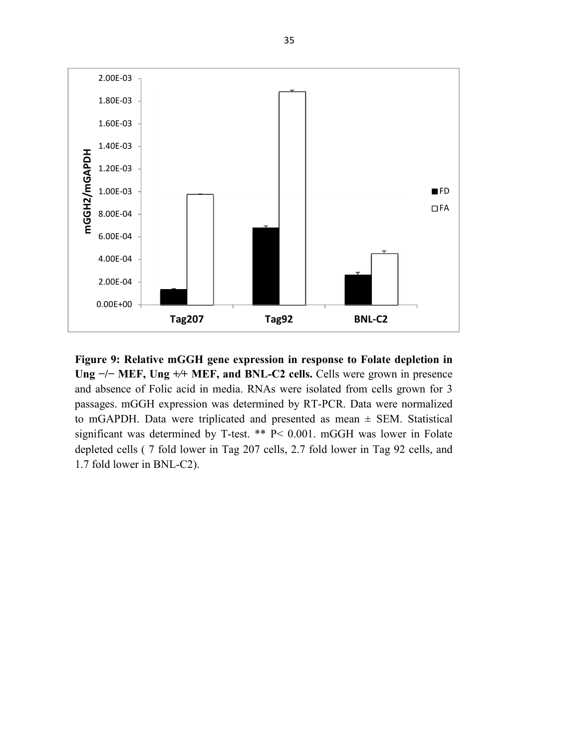

**Figure 9: Relative mGGH gene expression in response to Folate depletion in**  Ung <sup>-/-</sup> MEF, Ung <sup>+/+</sup> MEF, and BNL-C2 cells. Cells were grown in presence and absence of Folic acid in media. RNAs were isolated from cells grown for 3 passages. mGGH expression was determined by RT-PCR. Data were normalized to mGAPDH. Data were triplicated and presented as mean  $\pm$  SEM. Statistical significant was determined by T-test. \*\* P< 0.001. mGGH was lower in Folate depleted cells ( 7 fold lower in Tag 207 cells, 2.7 fold lower in Tag 92 cells, and 1.7 fold lower in BNL-C2).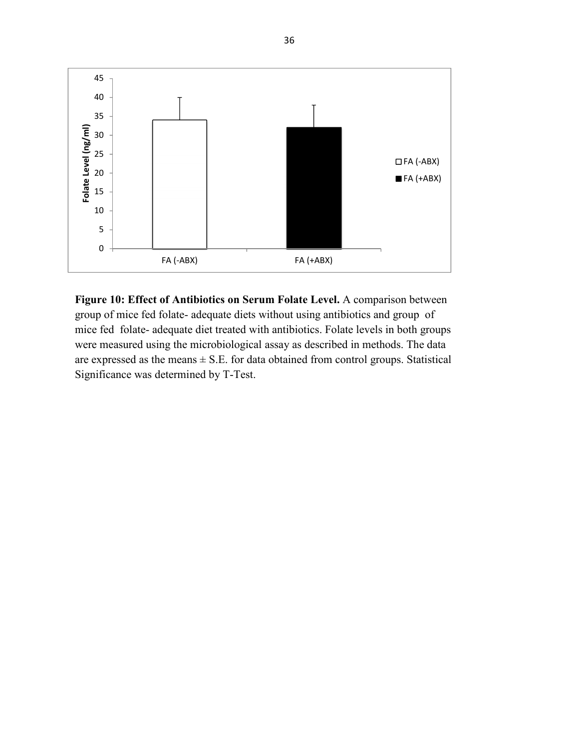

**Figure 10: Effect of Antibiotics on Serum Folate Level.** A comparison between group of mice fed folate- adequate diets without using antibiotics and group of mice fed folate- adequate diet treated with antibiotics. Folate levels in both groups were measured using the microbiological assay as described in methods. The data are expressed as the means  $\pm$  S.E. for data obtained from control groups. Statistical Significance was determined by T-Test.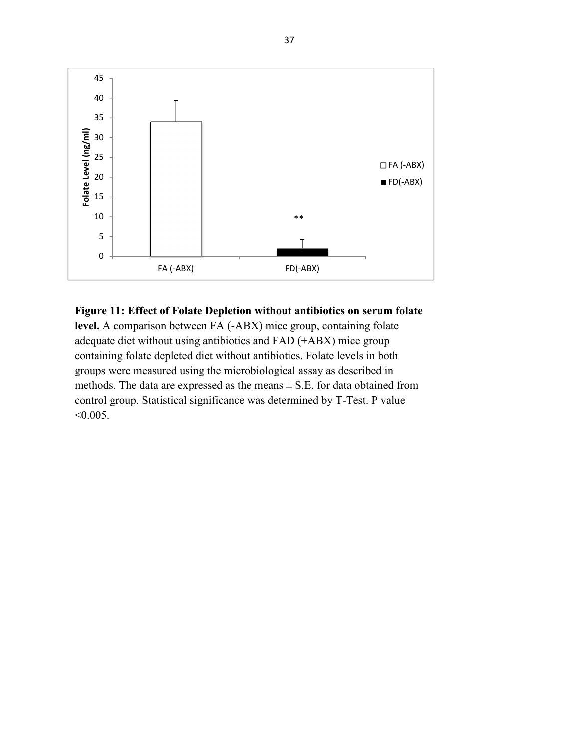

**Figure 11: Effect of Folate Depletion without antibiotics on serum folate** 

**level.** A comparison between FA (-ABX) mice group, containing folate adequate diet without using antibiotics and FAD (+ABX) mice group containing folate depleted diet without antibiotics. Folate levels in both groups were measured using the microbiological assay as described in methods. The data are expressed as the means  $\pm$  S.E. for data obtained from control group. Statistical significance was determined by T-Test. P value  $< 0.005$ .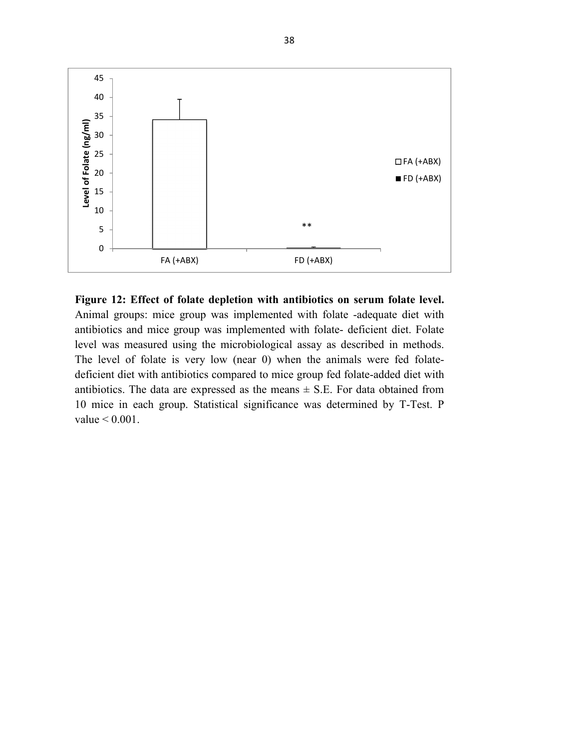

**Figure 12: Effect of folate depletion with antibiotics on serum folate level.**  Animal groups: mice group was implemented with folate -adequate diet with antibiotics and mice group was implemented with folate- deficient diet. Folate level was measured using the microbiological assay as described in methods. The level of folate is very low (near 0) when the animals were fed folatedeficient diet with antibiotics compared to mice group fed folate-added diet with antibiotics. The data are expressed as the means  $\pm$  S.E. For data obtained from 10 mice in each group. Statistical significance was determined by T-Test. P value < 0.001.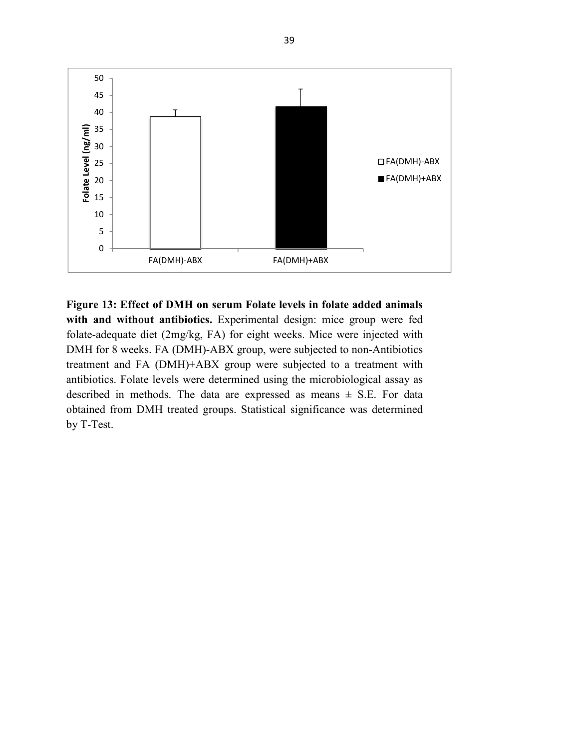

**Figure 13: Effect of DMH on serum Folate levels in folate added animals with and without antibiotics.** Experimental design: mice group were fed folate-adequate diet (2mg/kg, FA) for eight weeks. Mice were injected with DMH for 8 weeks. FA (DMH)-ABX group, were subjected to non-Antibiotics treatment and FA (DMH)+ABX group were subjected to a treatment with antibiotics. Folate levels were determined using the microbiological assay as described in methods. The data are expressed as means  $\pm$  S.E. For data obtained from DMH treated groups. Statistical significance was determined by T-Test.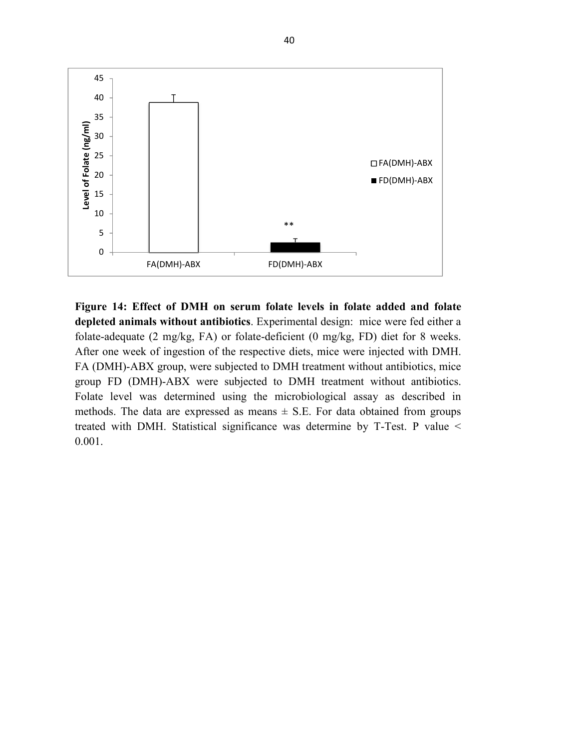

**Figure 14: Effect of DMH on serum folate levels in folate added and folate depleted animals without antibiotics**. Experimental design: mice were fed either a folate-adequate (2 mg/kg, FA) or folate-deficient (0 mg/kg, FD) diet for 8 weeks. After one week of ingestion of the respective diets, mice were injected with DMH. FA (DMH)-ABX group, were subjected to DMH treatment without antibiotics, mice group FD (DMH)-ABX were subjected to DMH treatment without antibiotics. Folate level was determined using the microbiological assay as described in methods. The data are expressed as means  $\pm$  S.E. For data obtained from groups treated with DMH. Statistical significance was determine by T-Test. P value < 0.001.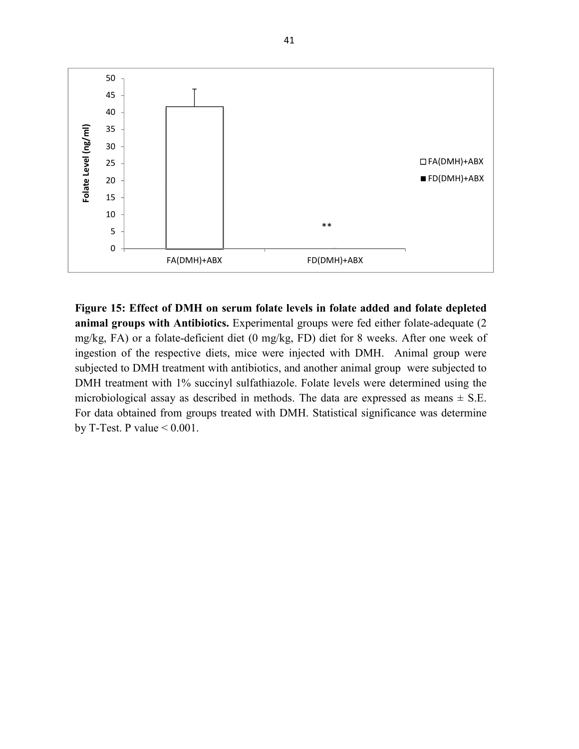

**Figure 15: Effect of DMH on serum folate levels in folate added and folate depleted animal groups with Antibiotics.** Experimental groups were fed either folate-adequate (2 mg/kg, FA) or a folate-deficient diet (0 mg/kg, FD) diet for 8 weeks. After one week of ingestion of the respective diets, mice were injected with DMH. Animal group were subjected to DMH treatment with antibiotics, and another animal group were subjected to DMH treatment with 1% succinyl sulfathiazole. Folate levels were determined using the microbiological assay as described in methods. The data are expressed as means  $\pm$  S.E. For data obtained from groups treated with DMH. Statistical significance was determine by T-Test. P value  $< 0.001$ .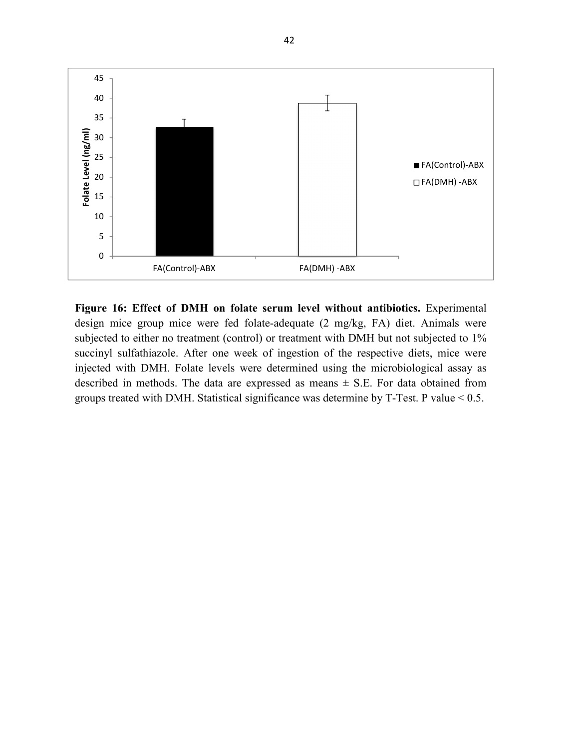

**Figure 16: Effect of DMH on folate serum level without antibiotics.** Experimental design mice group mice were fed folate-adequate (2 mg/kg, FA) diet. Animals were subjected to either no treatment (control) or treatment with DMH but not subjected to 1% succinyl sulfathiazole. After one week of ingestion of the respective diets, mice were injected with DMH. Folate levels were determined using the microbiological assay as described in methods. The data are expressed as means  $\pm$  S.E. For data obtained from groups treated with DMH. Statistical significance was determine by T-Test. P value < 0.5.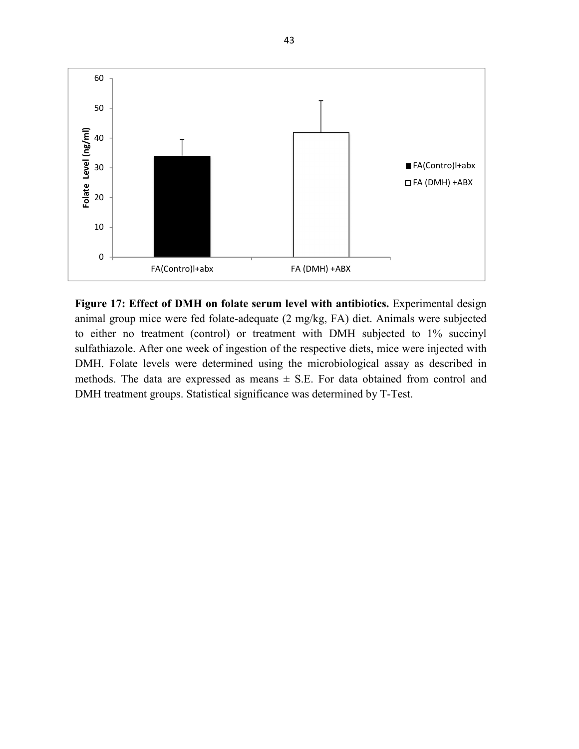

**Figure 17: Effect of DMH on folate serum level with antibiotics.** Experimental design animal group mice were fed folate-adequate (2 mg/kg, FA) diet. Animals were subjected to either no treatment (control) or treatment with DMH subjected to 1% succinyl sulfathiazole. After one week of ingestion of the respective diets, mice were injected with DMH. Folate levels were determined using the microbiological assay as described in methods. The data are expressed as means  $\pm$  S.E. For data obtained from control and DMH treatment groups. Statistical significance was determined by T-Test.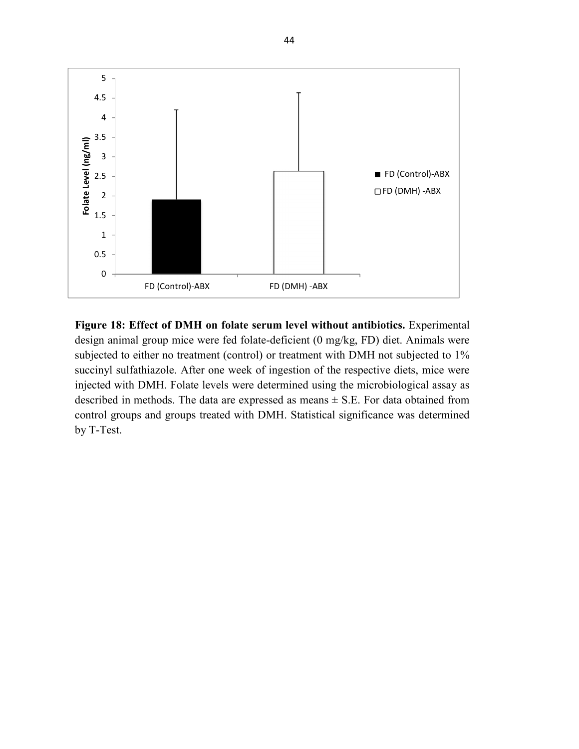

**Figure 18: Effect of DMH on folate serum level without antibiotics.** Experimental design animal group mice were fed folate-deficient (0 mg/kg, FD) diet. Animals were subjected to either no treatment (control) or treatment with DMH not subjected to 1% succinyl sulfathiazole. After one week of ingestion of the respective diets, mice were injected with DMH. Folate levels were determined using the microbiological assay as described in methods. The data are expressed as means  $\pm$  S.E. For data obtained from control groups and groups treated with DMH. Statistical significance was determined by T-Test.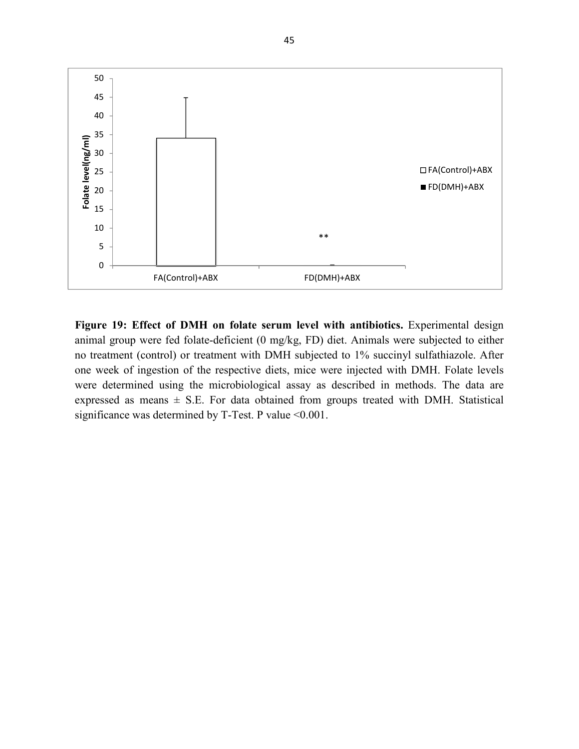

**Figure 19: Effect of DMH on folate serum level with antibiotics.** Experimental design animal group were fed folate-deficient (0 mg/kg, FD) diet. Animals were subjected to either no treatment (control) or treatment with DMH subjected to 1% succinyl sulfathiazole. After one week of ingestion of the respective diets, mice were injected with DMH. Folate levels were determined using the microbiological assay as described in methods. The data are expressed as means  $\pm$  S.E. For data obtained from groups treated with DMH. Statistical significance was determined by T-Test. P value <0.001.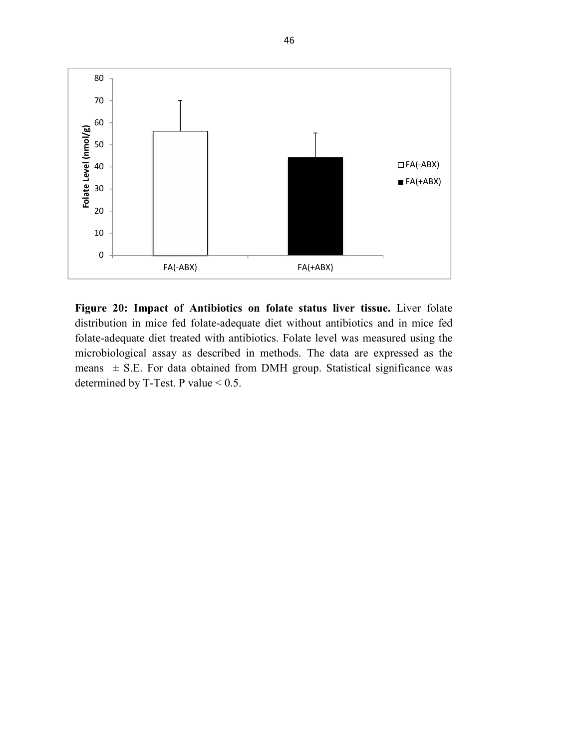

**Figure 20: Impact of Antibiotics on folate status liver tissue.** Liver folate distribution in mice fed folate-adequate diet without antibiotics and in mice fed folate-adequate diet treated with antibiotics. Folate level was measured using the microbiological assay as described in methods. The data are expressed as the means  $\pm$  S.E. For data obtained from DMH group. Statistical significance was determined by T-Test. P value < 0.5.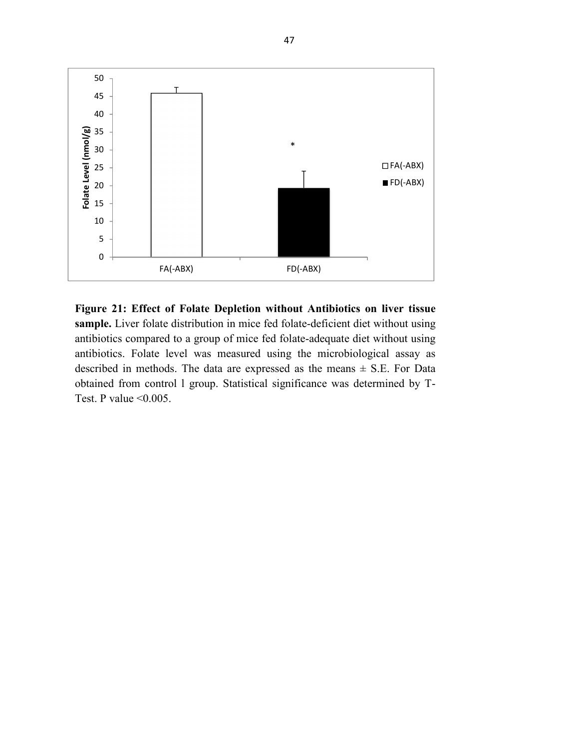

**Figure 21: Effect of Folate Depletion without Antibiotics on liver tissue sample.** Liver folate distribution in mice fed folate-deficient diet without using antibiotics compared to a group of mice fed folate-adequate diet without using antibiotics. Folate level was measured using the microbiological assay as described in methods. The data are expressed as the means  $\pm$  S.E. For Data obtained from control l group. Statistical significance was determined by T-Test. P value  $\leq 0.005$ .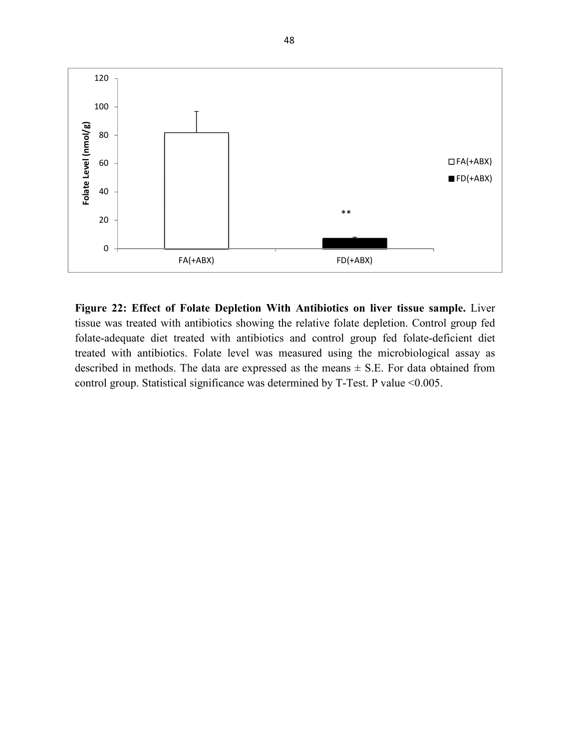

**Figure 22: Effect of Folate Depletion With Antibiotics on liver tissue sample.** Liver tissue was treated with antibiotics showing the relative folate depletion. Control group fed folate-adequate diet treated with antibiotics and control group fed folate-deficient diet treated with antibiotics. Folate level was measured using the microbiological assay as described in methods. The data are expressed as the means  $\pm$  S.E. For data obtained from control group. Statistical significance was determined by T-Test. P value <0.005.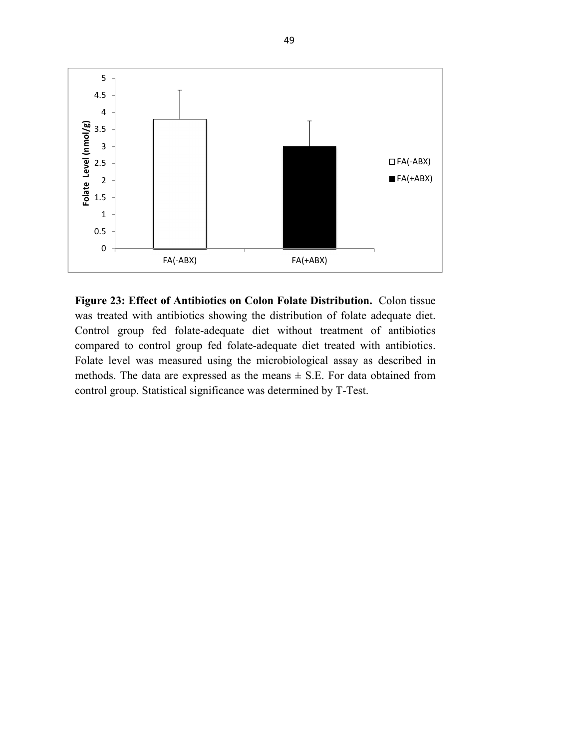

**Figure 23: Effect of Antibiotics on Colon Folate Distribution.** Colon tissue was treated with antibiotics showing the distribution of folate adequate diet. Control group fed folate-adequate diet without treatment of antibiotics compared to control group fed folate-adequate diet treated with antibiotics. Folate level was measured using the microbiological assay as described in methods. The data are expressed as the means  $\pm$  S.E. For data obtained from control group. Statistical significance was determined by T-Test.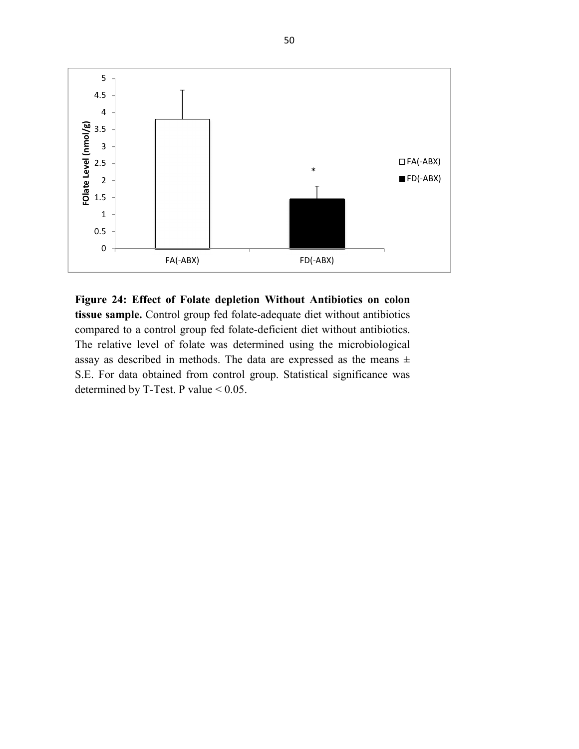

**Figure 24: Effect of Folate depletion Without Antibiotics on colon tissue sample.** Control group fed folate-adequate diet without antibiotics compared to a control group fed folate-deficient diet without antibiotics. The relative level of folate was determined using the microbiological assay as described in methods. The data are expressed as the means ± S.E. For data obtained from control group. Statistical significance was determined by T-Test. P value < 0.05.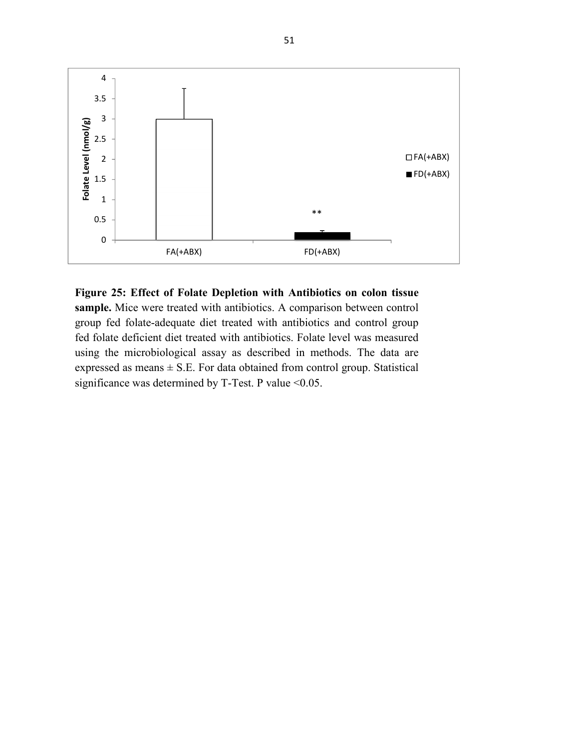

**Figure 25: Effect of Folate Depletion with Antibiotics on colon tissue sample.** Mice were treated with antibiotics. A comparison between control group fed folate-adequate diet treated with antibiotics and control group fed folate deficient diet treated with antibiotics. Folate level was measured using the microbiological assay as described in methods. The data are expressed as means  $\pm$  S.E. For data obtained from control group. Statistical significance was determined by T-Test. P value <0.05.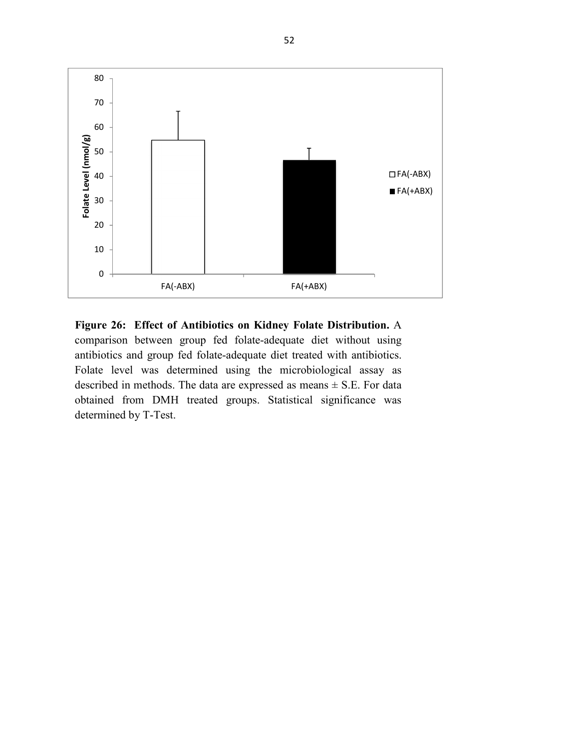

**Figure 26: Effect of Antibiotics on Kidney Folate Distribution.** A comparison between group fed folate-adequate diet without using antibiotics and group fed folate-adequate diet treated with antibiotics. Folate level was determined using the microbiological assay as described in methods. The data are expressed as means  $\pm$  S.E. For data obtained from DMH treated groups. Statistical significance was determined by T-Test.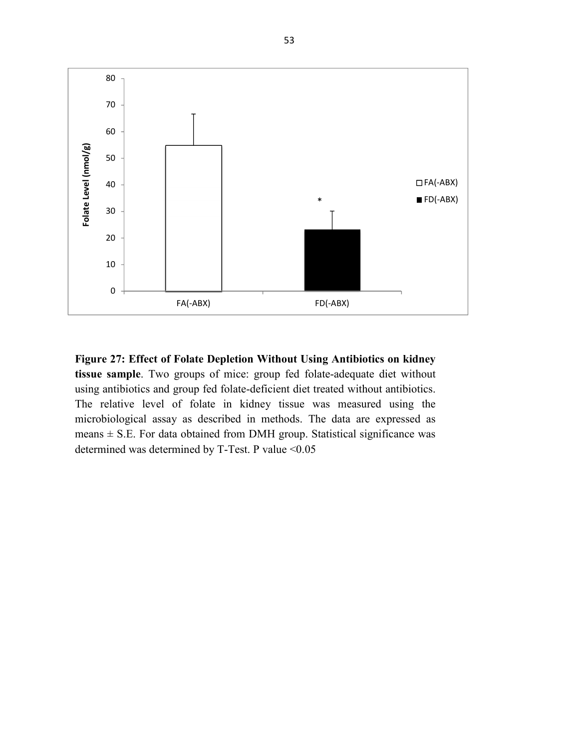

**Figure 27: Effect of Folate Depletion Without Using Antibiotics on kidney tissue sample**. Two groups of mice: group fed folate-adequate diet without using antibiotics and group fed folate-deficient diet treated without antibiotics. The relative level of folate in kidney tissue was measured using the microbiological assay as described in methods. The data are expressed as means  $\pm$  S.E. For data obtained from DMH group. Statistical significance was determined was determined by T-Test. P value <0.05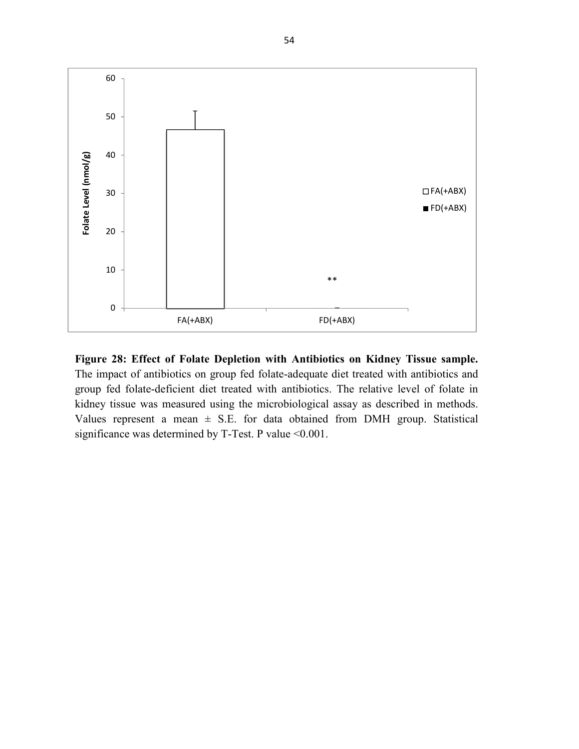

**Figure 28: Effect of Folate Depletion with Antibiotics on Kidney Tissue sample.** The impact of antibiotics on group fed folate-adequate diet treated with antibiotics and group fed folate-deficient diet treated with antibiotics. The relative level of folate in kidney tissue was measured using the microbiological assay as described in methods. Values represent a mean  $\pm$  S.E. for data obtained from DMH group. Statistical significance was determined by T-Test. P value <0.001.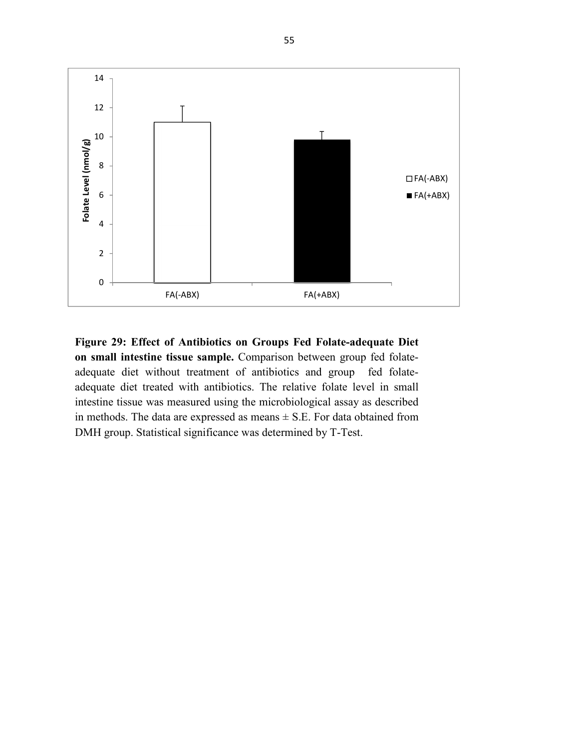

**Figure 29: Effect of Antibiotics on Groups Fed Folate-adequate Diet on small intestine tissue sample.** Comparison between group fed folateadequate diet without treatment of antibiotics and group fed folateadequate diet treated with antibiotics. The relative folate level in small intestine tissue was measured using the microbiological assay as described in methods. The data are expressed as means  $\pm$  S.E. For data obtained from DMH group. Statistical significance was determined by T-Test.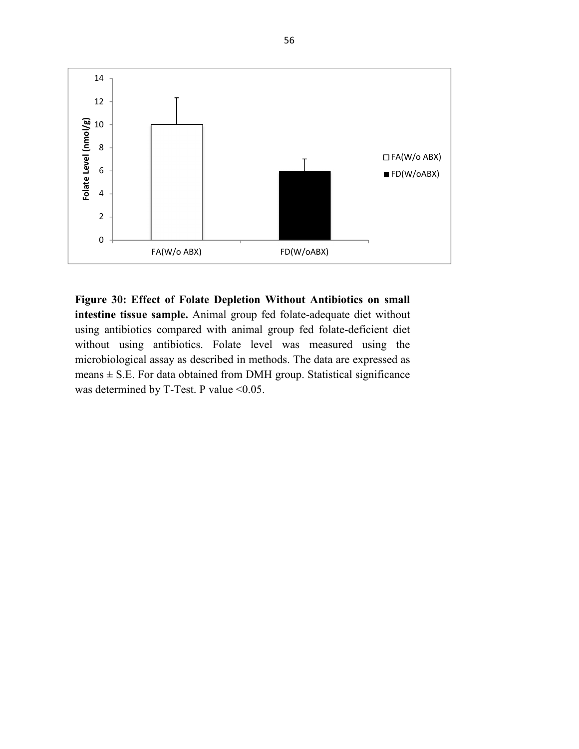

**Figure 30: Effect of Folate Depletion Without Antibiotics on small intestine tissue sample.** Animal group fed folate-adequate diet without using antibiotics compared with animal group fed folate-deficient diet without using antibiotics. Folate level was measured using the microbiological assay as described in methods. The data are expressed as means  $\pm$  S.E. For data obtained from DMH group. Statistical significance was determined by T-Test. P value <0.05.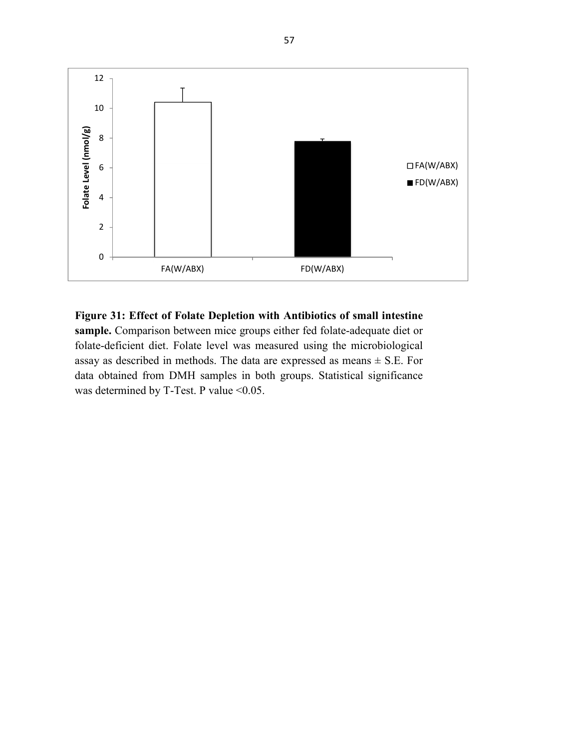

**Figure 31: Effect of Folate Depletion with Antibiotics of small intestine**  sample. Comparison between mice groups either fed folate-adequate diet or folate-deficient diet. Folate level was measured using the microbiological assay as described in methods. The data are expressed as means  $\pm$  S.E. For data obtained from DMH samples in both groups. Statistical significance was determined by T-Test. P value <0.05.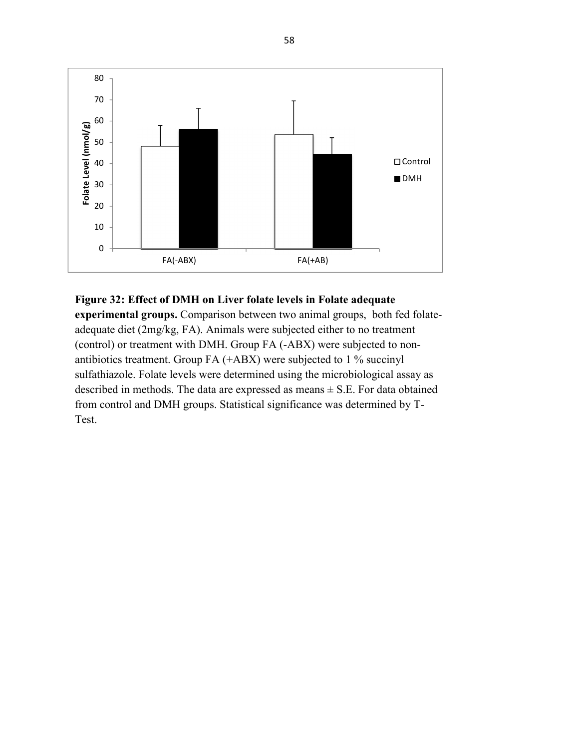

## **Figure 32: Effect of DMH on Liver folate levels in Folate adequate**

**experimental groups.** Comparison between two animal groups, both fed folateadequate diet (2mg/kg, FA). Animals were subjected either to no treatment (control) or treatment with DMH. Group FA (-ABX) were subjected to nonantibiotics treatment. Group FA (+ABX) were subjected to 1 % succinyl sulfathiazole. Folate levels were determined using the microbiological assay as described in methods. The data are expressed as means  $\pm$  S.E. For data obtained from control and DMH groups. Statistical significance was determined by T-Test.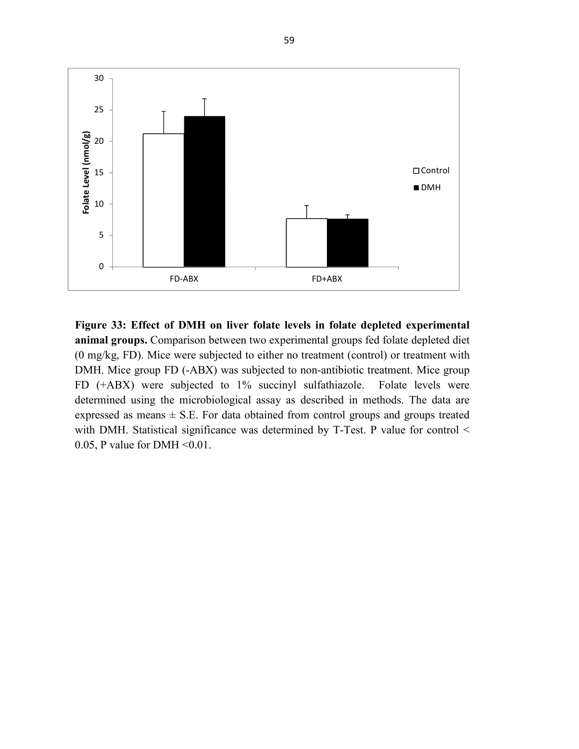

**Figure 33: Effect of DMH on liver folate levels in folate depleted experimental animal groups.** Comparison between two experimental groups fed folate depleted diet (0 mg/kg, FD). Mice were subjected to either no treatment (control) or treatment with DMH. Mice group FD (-ABX) was subjected to non-antibiotic treatment. Mice group FD (+ABX) were subjected to 1% succinyl sulfathiazole. Folate levels were determined using the microbiological assay as described in methods. The data are expressed as means  $\pm$  S.E. For data obtained from control groups and groups treated with DMH. Statistical significance was determined by T-Test. P value for control < 0.05, P value for DMH  $\leq 0.01$ .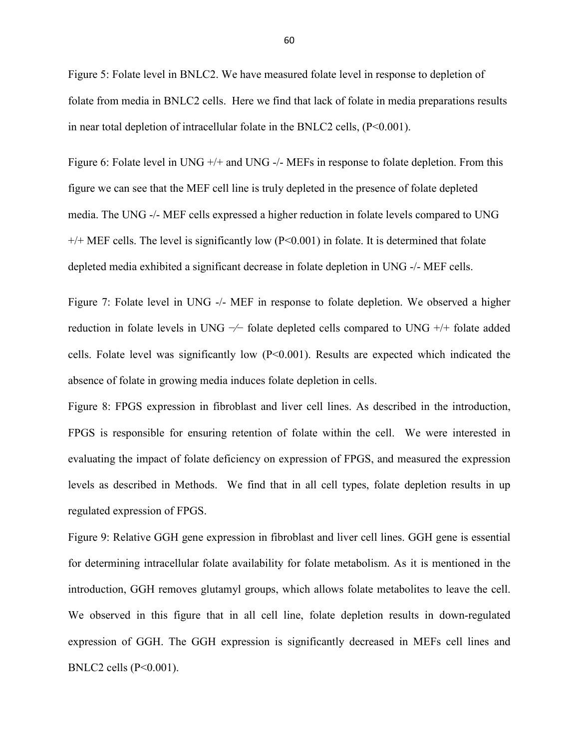Figure 5: Folate level in BNLC2. We have measured folate level in response to depletion of folate from media in BNLC2 cells. Here we find that lack of folate in media preparations results in near total depletion of intracellular folate in the BNLC2 cells,  $(P<0.001)$ .

Figure 6: Folate level in UNG +/+ and UNG -/- MEFs in response to folate depletion. From this figure we can see that the MEF cell line is truly depleted in the presence of folate depleted media. The UNG -/- MEF cells expressed a higher reduction in folate levels compared to UNG +/+ MEF cells. The level is significantly low (P<0.001) in folate. It is determined that folate depleted media exhibited a significant decrease in folate depletion in UNG -/- MEF cells.

Figure 7: Folate level in UNG -/- MEF in response to folate depletion. We observed a higher reduction in folate levels in UNG −⁄− folate depleted cells compared to UNG +/+ folate added cells. Folate level was significantly low (P<0.001). Results are expected which indicated the absence of folate in growing media induces folate depletion in cells.

Figure 8: FPGS expression in fibroblast and liver cell lines. As described in the introduction, FPGS is responsible for ensuring retention of folate within the cell. We were interested in evaluating the impact of folate deficiency on expression of FPGS, and measured the expression levels as described in Methods. We find that in all cell types, folate depletion results in up regulated expression of FPGS.

Figure 9: Relative GGH gene expression in fibroblast and liver cell lines. GGH gene is essential for determining intracellular folate availability for folate metabolism. As it is mentioned in the introduction, GGH removes glutamyl groups, which allows folate metabolites to leave the cell. We observed in this figure that in all cell line, folate depletion results in down-regulated expression of GGH. The GGH expression is significantly decreased in MEFs cell lines and BNLC2 cells (P<0.001).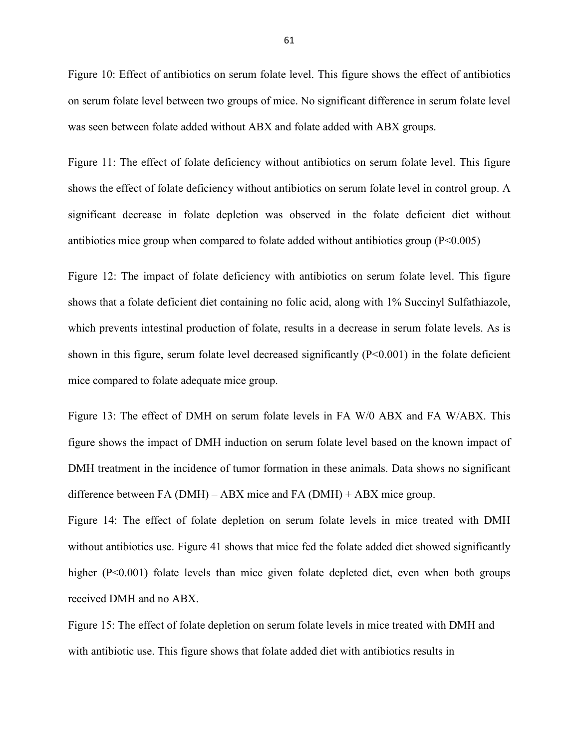Figure 10: Effect of antibiotics on serum folate level. This figure shows the effect of antibiotics on serum folate level between two groups of mice. No significant difference in serum folate level was seen between folate added without ABX and folate added with ABX groups.

Figure 11: The effect of folate deficiency without antibiotics on serum folate level. This figure shows the effect of folate deficiency without antibiotics on serum folate level in control group. A significant decrease in folate depletion was observed in the folate deficient diet without antibiotics mice group when compared to folate added without antibiotics group  $(P<0.005)$ 

Figure 12: The impact of folate deficiency with antibiotics on serum folate level. This figure shows that a folate deficient diet containing no folic acid, along with 1% Succinyl Sulfathiazole, which prevents intestinal production of folate, results in a decrease in serum folate levels. As is shown in this figure, serum folate level decreased significantly  $(P<0.001)$  in the folate deficient mice compared to folate adequate mice group.

Figure 13: The effect of DMH on serum folate levels in FA W/0 ABX and FA W/ABX. This figure shows the impact of DMH induction on serum folate level based on the known impact of DMH treatment in the incidence of tumor formation in these animals. Data shows no significant difference between FA (DMH) – ABX mice and FA (DMH) + ABX mice group.

Figure 14: The effect of folate depletion on serum folate levels in mice treated with DMH without antibiotics use. Figure 41 shows that mice fed the folate added diet showed significantly higher (P<0.001) folate levels than mice given folate depleted diet, even when both groups received DMH and no ABX.

Figure 15: The effect of folate depletion on serum folate levels in mice treated with DMH and with antibiotic use. This figure shows that folate added diet with antibiotics results in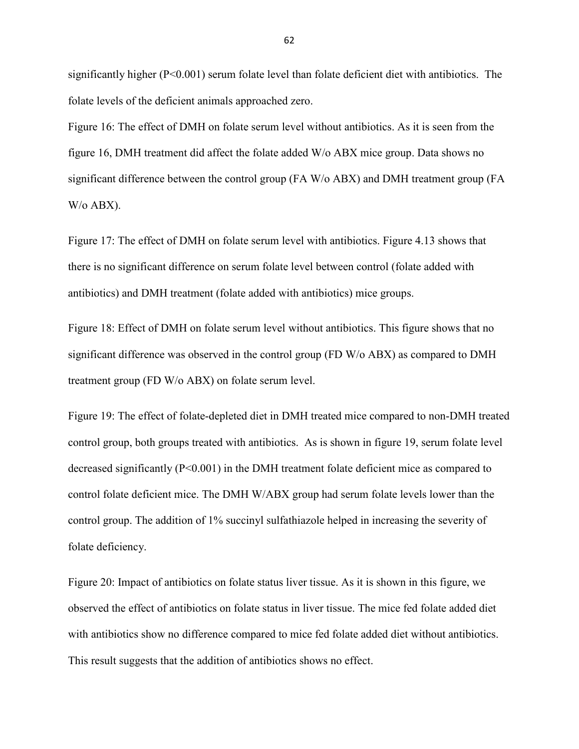significantly higher (P<0.001) serum folate level than folate deficient diet with antibiotics. The folate levels of the deficient animals approached zero.

Figure 16: The effect of DMH on folate serum level without antibiotics. As it is seen from the figure 16, DMH treatment did affect the folate added W/o ABX mice group. Data shows no significant difference between the control group (FA W/o ABX) and DMH treatment group (FA W/o ABX).

Figure 17: The effect of DMH on folate serum level with antibiotics. Figure 4.13 shows that there is no significant difference on serum folate level between control (folate added with antibiotics) and DMH treatment (folate added with antibiotics) mice groups.

Figure 18: Effect of DMH on folate serum level without antibiotics. This figure shows that no significant difference was observed in the control group (FD W/o ABX) as compared to DMH treatment group (FD W/o ABX) on folate serum level.

Figure 19: The effect of folate-depleted diet in DMH treated mice compared to non-DMH treated control group, both groups treated with antibiotics. As is shown in figure 19, serum folate level decreased significantly (P<0.001) in the DMH treatment folate deficient mice as compared to control folate deficient mice. The DMH W/ABX group had serum folate levels lower than the control group. The addition of 1% succinyl sulfathiazole helped in increasing the severity of folate deficiency.

Figure 20: Impact of antibiotics on folate status liver tissue. As it is shown in this figure, we observed the effect of antibiotics on folate status in liver tissue. The mice fed folate added diet with antibiotics show no difference compared to mice fed folate added diet without antibiotics. This result suggests that the addition of antibiotics shows no effect.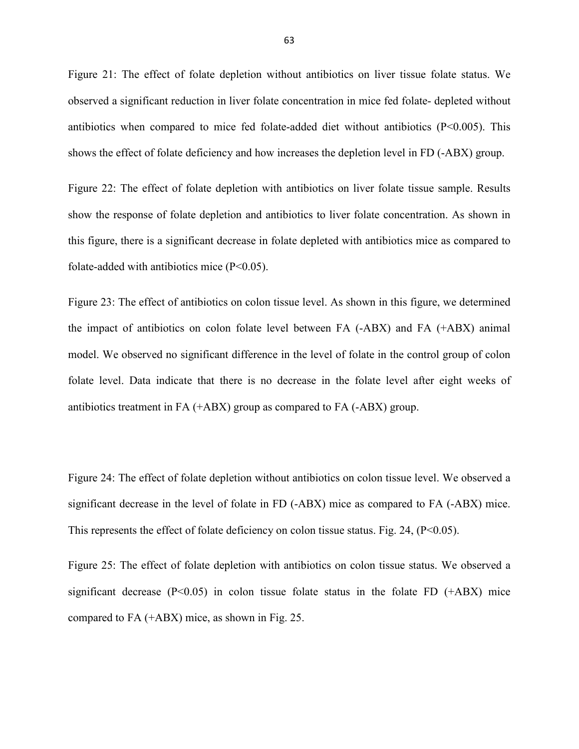Figure 21: The effect of folate depletion without antibiotics on liver tissue folate status. We observed a significant reduction in liver folate concentration in mice fed folate- depleted without antibiotics when compared to mice fed folate-added diet without antibiotics  $(P<0.005)$ . This shows the effect of folate deficiency and how increases the depletion level in FD (-ABX) group.

Figure 22: The effect of folate depletion with antibiotics on liver folate tissue sample. Results show the response of folate depletion and antibiotics to liver folate concentration. As shown in this figure, there is a significant decrease in folate depleted with antibiotics mice as compared to folate-added with antibiotics mice (P<0.05).

Figure 23: The effect of antibiotics on colon tissue level. As shown in this figure, we determined the impact of antibiotics on colon folate level between FA (-ABX) and FA (+ABX) animal model. We observed no significant difference in the level of folate in the control group of colon folate level. Data indicate that there is no decrease in the folate level after eight weeks of antibiotics treatment in FA (+ABX) group as compared to FA (-ABX) group.

Figure 24: The effect of folate depletion without antibiotics on colon tissue level. We observed a significant decrease in the level of folate in FD (-ABX) mice as compared to FA (-ABX) mice. This represents the effect of folate deficiency on colon tissue status. Fig. 24,  $(P<0.05)$ .

Figure 25: The effect of folate depletion with antibiotics on colon tissue status. We observed a significant decrease  $(P<0.05)$  in colon tissue folate status in the folate FD  $(+ABX)$  mice compared to FA (+ABX) mice, as shown in Fig. 25.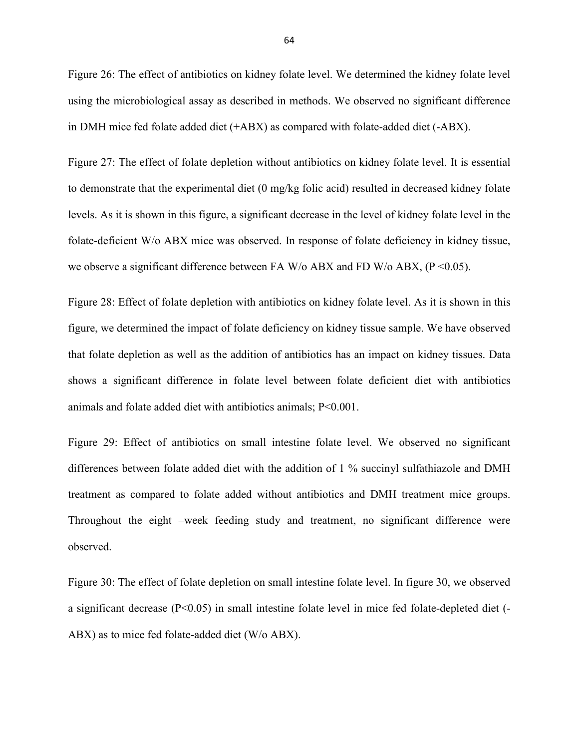Figure 26: The effect of antibiotics on kidney folate level. We determined the kidney folate level using the microbiological assay as described in methods. We observed no significant difference in DMH mice fed folate added diet (+ABX) as compared with folate-added diet (-ABX).

Figure 27: The effect of folate depletion without antibiotics on kidney folate level. It is essential to demonstrate that the experimental diet (0 mg/kg folic acid) resulted in decreased kidney folate levels. As it is shown in this figure, a significant decrease in the level of kidney folate level in the folate-deficient W/o ABX mice was observed. In response of folate deficiency in kidney tissue, we observe a significant difference between FA W/o ABX and FD W/o ABX,  $(P \le 0.05)$ .

Figure 28: Effect of folate depletion with antibiotics on kidney folate level. As it is shown in this figure, we determined the impact of folate deficiency on kidney tissue sample. We have observed that folate depletion as well as the addition of antibiotics has an impact on kidney tissues. Data shows a significant difference in folate level between folate deficient diet with antibiotics animals and folate added diet with antibiotics animals; P<0.001.

Figure 29: Effect of antibiotics on small intestine folate level. We observed no significant differences between folate added diet with the addition of 1 % succinyl sulfathiazole and DMH treatment as compared to folate added without antibiotics and DMH treatment mice groups. Throughout the eight –week feeding study and treatment, no significant difference were observed.

Figure 30: The effect of folate depletion on small intestine folate level. In figure 30, we observed a significant decrease (P<0.05) in small intestine folate level in mice fed folate-depleted diet (- ABX) as to mice fed folate-added diet (W/o ABX).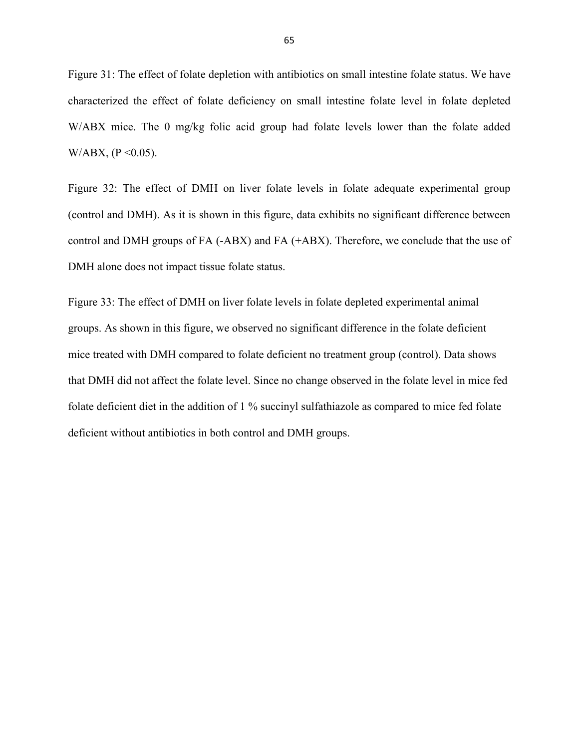Figure 31: The effect of folate depletion with antibiotics on small intestine folate status. We have characterized the effect of folate deficiency on small intestine folate level in folate depleted W/ABX mice. The 0 mg/kg folic acid group had folate levels lower than the folate added W/ABX, ( $P \le 0.05$ ).

Figure 32: The effect of DMH on liver folate levels in folate adequate experimental group (control and DMH). As it is shown in this figure, data exhibits no significant difference between control and DMH groups of FA (-ABX) and FA (+ABX). Therefore, we conclude that the use of DMH alone does not impact tissue folate status.

Figure 33: The effect of DMH on liver folate levels in folate depleted experimental animal groups. As shown in this figure, we observed no significant difference in the folate deficient mice treated with DMH compared to folate deficient no treatment group (control). Data shows that DMH did not affect the folate level. Since no change observed in the folate level in mice fed folate deficient diet in the addition of 1 % succinyl sulfathiazole as compared to mice fed folate deficient without antibiotics in both control and DMH groups.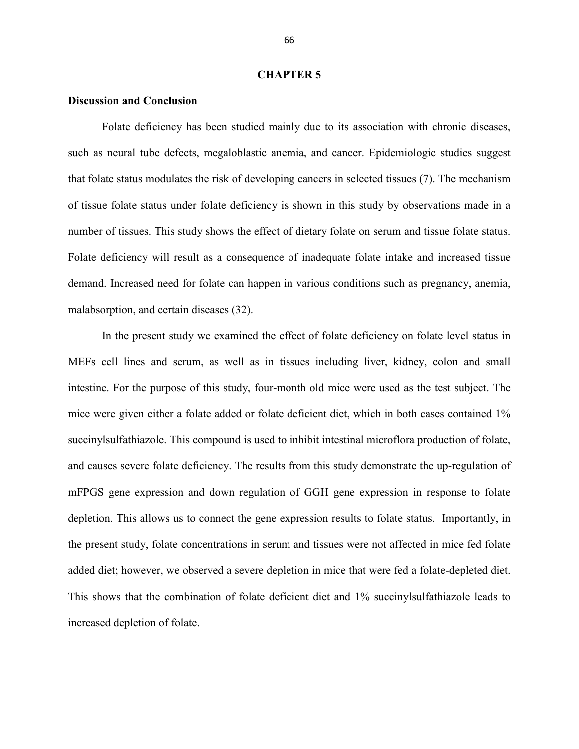#### **CHAPTER 5**

# **Discussion and Conclusion**

 Folate deficiency has been studied mainly due to its association with chronic diseases, such as neural tube defects, megaloblastic anemia, and cancer. Epidemiologic studies suggest that folate status modulates the risk of developing cancers in selected tissues (7). The mechanism of tissue folate status under folate deficiency is shown in this study by observations made in a number of tissues. This study shows the effect of dietary folate on serum and tissue folate status. Folate deficiency will result as a consequence of inadequate folate intake and increased tissue demand. Increased need for folate can happen in various conditions such as pregnancy, anemia, malabsorption, and certain diseases (32).

 In the present study we examined the effect of folate deficiency on folate level status in MEFs cell lines and serum, as well as in tissues including liver, kidney, colon and small intestine. For the purpose of this study, four-month old mice were used as the test subject. The mice were given either a folate added or folate deficient diet, which in both cases contained 1% succinylsulfathiazole. This compound is used to inhibit intestinal microflora production of folate, and causes severe folate deficiency. The results from this study demonstrate the up-regulation of mFPGS gene expression and down regulation of GGH gene expression in response to folate depletion. This allows us to connect the gene expression results to folate status. Importantly, in the present study, folate concentrations in serum and tissues were not affected in mice fed folate added diet; however, we observed a severe depletion in mice that were fed a folate-depleted diet. This shows that the combination of folate deficient diet and 1% succinylsulfathiazole leads to increased depletion of folate.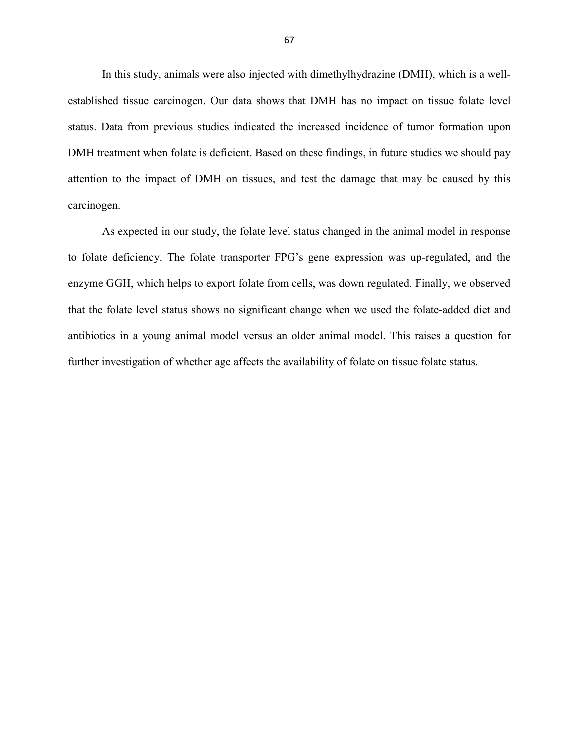In this study, animals were also injected with dimethylhydrazine (DMH), which is a wellestablished tissue carcinogen. Our data shows that DMH has no impact on tissue folate level status. Data from previous studies indicated the increased incidence of tumor formation upon DMH treatment when folate is deficient. Based on these findings, in future studies we should pay attention to the impact of DMH on tissues, and test the damage that may be caused by this carcinogen.

As expected in our study, the folate level status changed in the animal model in response to folate deficiency. The folate transporter FPG's gene expression was up-regulated, and the enzyme GGH, which helps to export folate from cells, was down regulated. Finally, we observed that the folate level status shows no significant change when we used the folate-added diet and antibiotics in a young animal model versus an older animal model. This raises a question for further investigation of whether age affects the availability of folate on tissue folate status.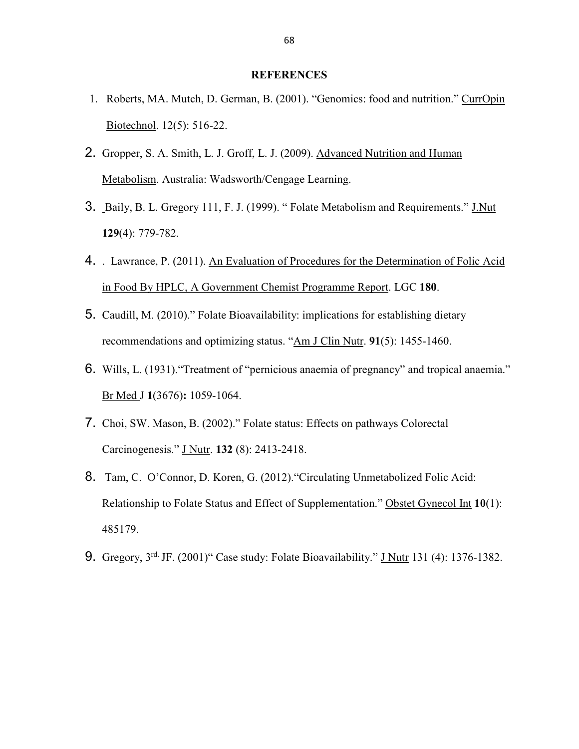# **REFERENCES**

- 1. Roberts, MA. Mutch, D. German, B. (2001). "Genomics: food and nutrition." CurrOpin Biotechnol. 12(5): 516-22.
- 2. Gropper, S. A. Smith, L. J. Groff, L. J. (2009). Advanced Nutrition and Human Metabolism. Australia: Wadsworth/Cengage Learning.
- 3. Baily, B. L. Gregory 111, F. J. (1999). " Folate Metabolism and Requirements." J.Nut **129**(4): 779-782.
- 4. . Lawrance, P. (2011). An Evaluation of Procedures for the Determination of Folic Acid in Food By HPLC, A Government Chemist Programme Report. LGC **180**.
- 5. Caudill, M. (2010)." Folate Bioavailability: implications for establishing dietary recommendations and optimizing status. "Am J Clin Nutr. **91**(5): 1455-1460.
- 6. Wills, L. (1931)."Treatment of "pernicious anaemia of pregnancy" and tropical anaemia." Br Med J **1**(3676)**:** 1059-1064.
- 7. Choi, SW. Mason, B. (2002)." Folate status: Effects on pathways Colorectal Carcinogenesis." J Nutr. **132** (8): 2413-2418.
- 8. Tam, C. O'Connor, D. Koren, G. (2012)."Circulating Unmetabolized Folic Acid: Relationship to Folate Status and Effect of Supplementation." Obstet Gynecol Int **10**(1): 485179.
- 9. Gregory, 3rd. JF. (2001)" Case study: Folate Bioavailability." J Nutr 131 (4): 1376-1382.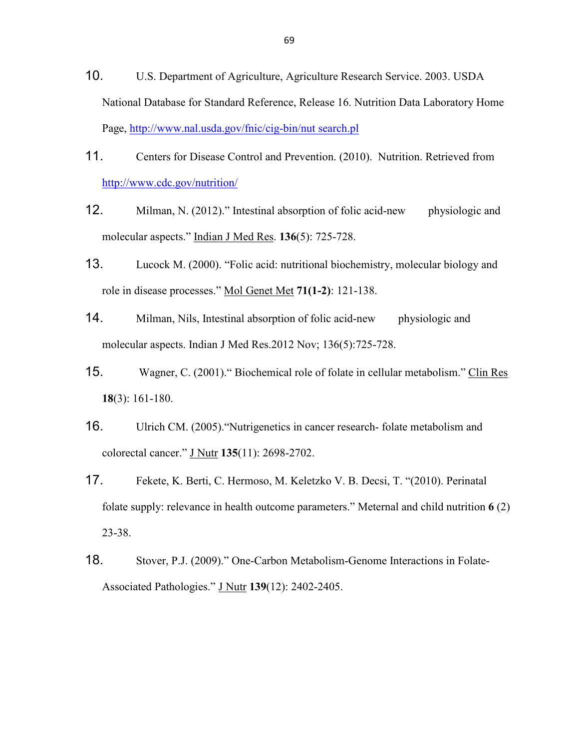- 10. U.S. Department of Agriculture, Agriculture Research Service. 2003. USDA National Database for Standard Reference, Release 16. Nutrition Data Laboratory Home Page, http://www.nal.usda.gov/fnic/cig-bin/nut search.pl
- 11. Centers for Disease Control and Prevention. (2010). Nutrition. Retrieved from http://www.cdc.gov/nutrition/
- 12. Milman, N. (2012)." Intestinal absorption of folic acid-new physiologic and molecular aspects." Indian J Med Res. **136**(5): 725-728.
- 13. Lucock M. (2000). "Folic acid: nutritional biochemistry, molecular biology and role in disease processes." Mol Genet Met **71(1-2)**: 121-138.
- 14. Milman, Nils, Intestinal absorption of folic acid-new physiologic and molecular aspects. Indian J Med Res.2012 Nov; 136(5):725-728.
- 15. Wagner, C. (2001)." Biochemical role of folate in cellular metabolism." Clin Res **18**(3): 161-180.
- 16. Ulrich CM. (2005)."Nutrigenetics in cancer research- folate metabolism and colorectal cancer." J Nutr **135**(11): 2698-2702.
- 17. Fekete, K. Berti, C. Hermoso, M. Keletzko V. B. Decsi, T. "(2010). Perinatal folate supply: relevance in health outcome parameters." Meternal and child nutrition **6** (2) 23-38.
- 18. Stover, P.J. (2009)." One-Carbon Metabolism-Genome Interactions in Folate-Associated Pathologies." J Nutr **139**(12): 2402-2405.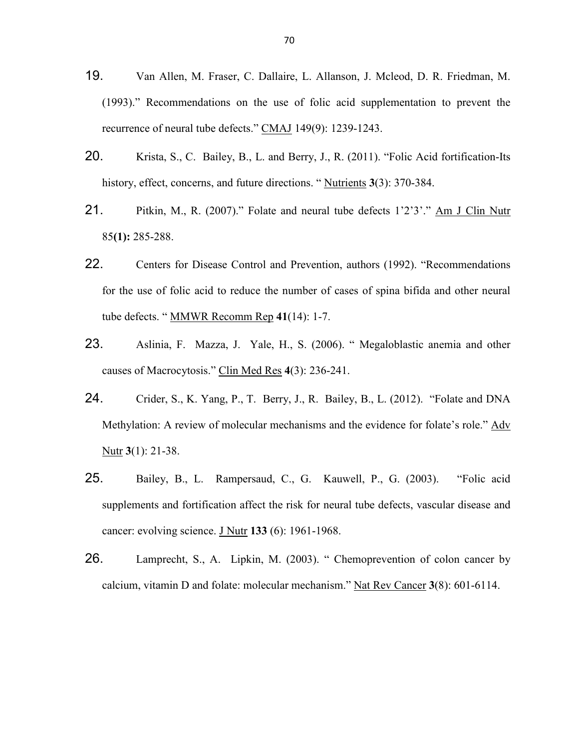- 19. Van Allen, M. Fraser, C. Dallaire, L. Allanson, J. Mcleod, D. R. Friedman, M. (1993)." Recommendations on the use of folic acid supplementation to prevent the recurrence of neural tube defects." CMAJ 149(9): 1239-1243.
- 20. Krista, S., C. Bailey, B., L. and Berry, J., R. (2011). "Folic Acid fortification-Its history, effect, concerns, and future directions. " Nutrients **3**(3): 370-384.
- 21. Pitkin, M., R. (2007)." Folate and neural tube defects 1'2'3'." Am J Clin Nutr 85**(1):** 285-288.
- 22. Centers for Disease Control and Prevention, authors (1992). "Recommendations for the use of folic acid to reduce the number of cases of spina bifida and other neural tube defects. " MMWR Recomm Rep **41**(14): 1-7.
- 23. Aslinia, F. Mazza, J. Yale, H., S. (2006). " Megaloblastic anemia and other causes of Macrocytosis." Clin Med Res **4**(3): 236-241.
- 24. Crider, S., K. Yang, P., T. Berry, J., R. Bailey, B., L. (2012). "Folate and DNA Methylation: A review of molecular mechanisms and the evidence for folate's role." Adv Nutr **3**(1): 21-38.
- 25. Bailey, B., L. Rampersaud, C., G. Kauwell, P., G. (2003). "Folic acid supplements and fortification affect the risk for neural tube defects, vascular disease and cancer: evolving science. J Nutr **133** (6): 1961-1968.
- 26. Lamprecht, S., A. Lipkin, M. (2003). " Chemoprevention of colon cancer by calcium, vitamin D and folate: molecular mechanism." Nat Rev Cancer **3**(8): 601-6114.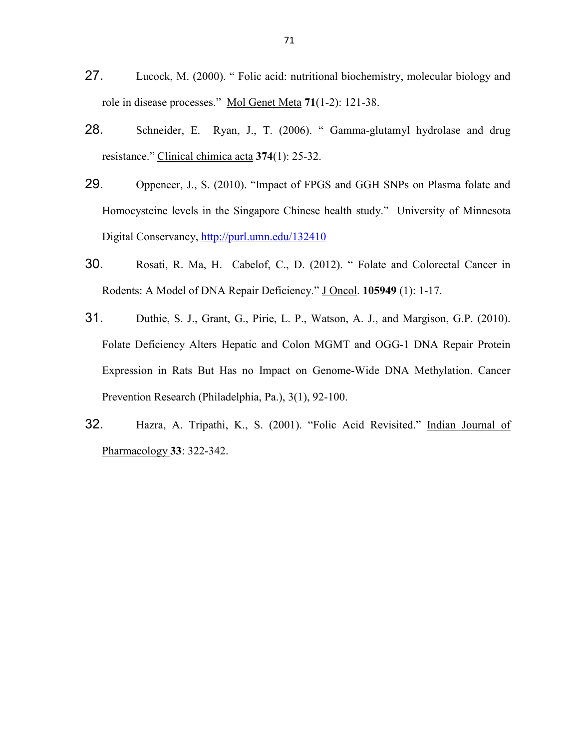- 27. Lucock, M. (2000). " Folic acid: nutritional biochemistry, molecular biology and role in disease processes." Mol Genet Meta **71**(1-2): 121-38.
- 28. Schneider, E. Ryan, J., T. (2006). "Gamma-glutamyl hydrolase and drug resistance." Clinical chimica acta **374**(1): 25-32.
- 29. Oppeneer, J., S. (2010). "Impact of FPGS and GGH SNPs on Plasma folate and Homocysteine levels in the Singapore Chinese health study." University of Minnesota Digital Conservancy, http://purl.umn.edu/132410
- 30. Rosati, R. Ma, H. Cabelof, C., D. (2012). " Folate and Colorectal Cancer in Rodents: A Model of DNA Repair Deficiency." J Oncol. **105949** (1): 1-17.
- 31. Duthie, S. J., Grant, G., Pirie, L. P., Watson, A. J., and Margison, G.P. (2010). Folate Deficiency Alters Hepatic and Colon MGMT and OGG-1 DNA Repair Protein Expression in Rats But Has no Impact on Genome-Wide DNA Methylation. Cancer Prevention Research (Philadelphia, Pa.), 3(1), 92-100.
- 32. Hazra, A. Tripathi, K., S. (2001). "Folic Acid Revisited." Indian Journal of Pharmacology **33**: 322-342.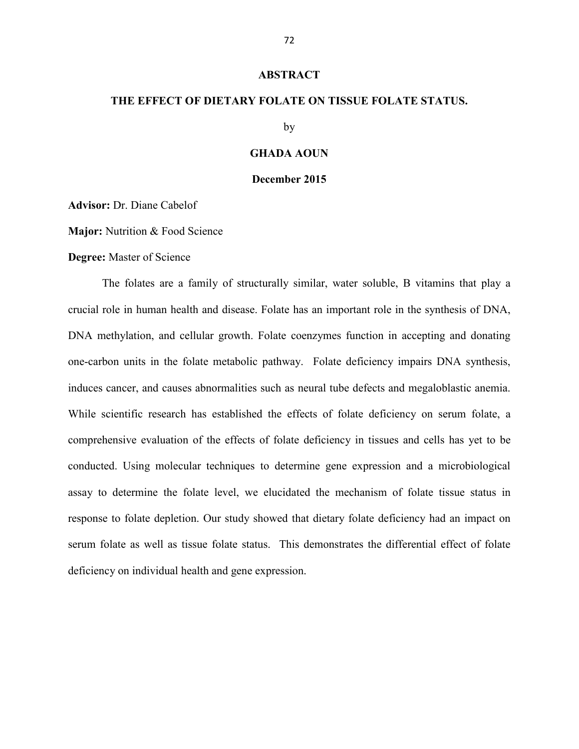#### **ABSTRACT**

# **THE EFFECT OF DIETARY FOLATE ON TISSUE FOLATE STATUS.**

by

# **GHADA AOUN**

### **December 2015**

**Advisor:** Dr. Diane Cabelof

**Major:** Nutrition & Food Science

### **Degree:** Master of Science

 The folates are a family of structurally similar, water soluble, B vitamins that play a crucial role in human health and disease. Folate has an important role in the synthesis of DNA, DNA methylation, and cellular growth. Folate coenzymes function in accepting and donating one-carbon units in the folate metabolic pathway. Folate deficiency impairs DNA synthesis, induces cancer, and causes abnormalities such as neural tube defects and megaloblastic anemia. While scientific research has established the effects of folate deficiency on serum folate, a comprehensive evaluation of the effects of folate deficiency in tissues and cells has yet to be conducted. Using molecular techniques to determine gene expression and a microbiological assay to determine the folate level, we elucidated the mechanism of folate tissue status in response to folate depletion. Our study showed that dietary folate deficiency had an impact on serum folate as well as tissue folate status. This demonstrates the differential effect of folate deficiency on individual health and gene expression.